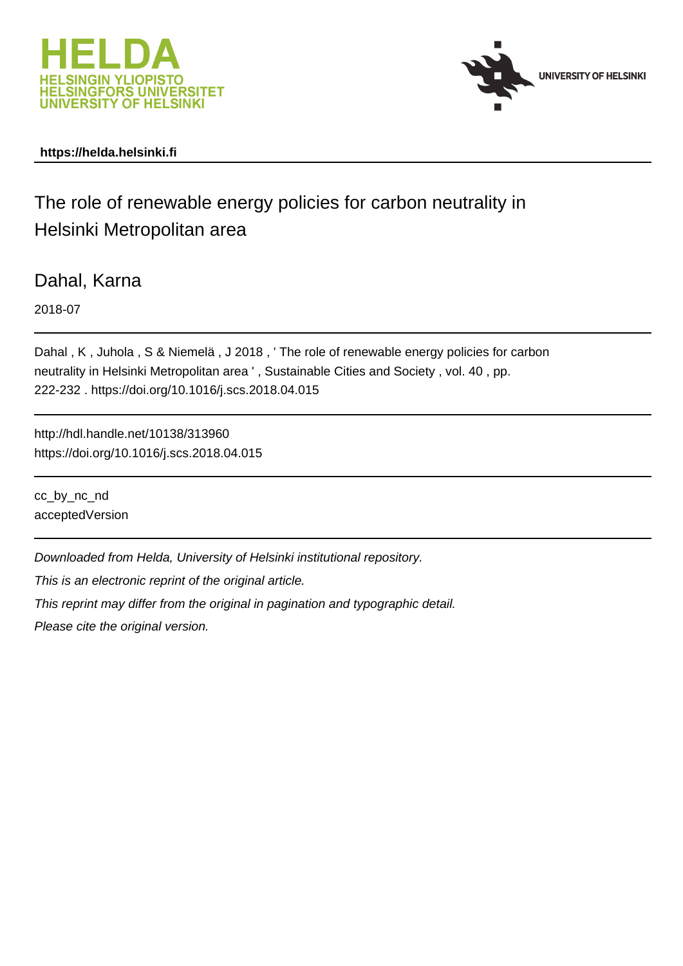



#### **https://helda.helsinki.fi**

# The role of renewable energy policies for carbon neutrality in Helsinki Metropolitan area

Dahal, Karna

2018-07

Dahal , K , Juhola , S & Niemelä , J 2018 , ' The role of renewable energy policies for carbon neutrality in Helsinki Metropolitan area ' , Sustainable Cities and Society , vol. 40 , pp. 222-232 . https://doi.org/10.1016/j.scs.2018.04.015

http://hdl.handle.net/10138/313960 https://doi.org/10.1016/j.scs.2018.04.015

cc\_by\_nc\_nd acceptedVersion

Downloaded from Helda, University of Helsinki institutional repository.

This is an electronic reprint of the original article.

This reprint may differ from the original in pagination and typographic detail.

Please cite the original version.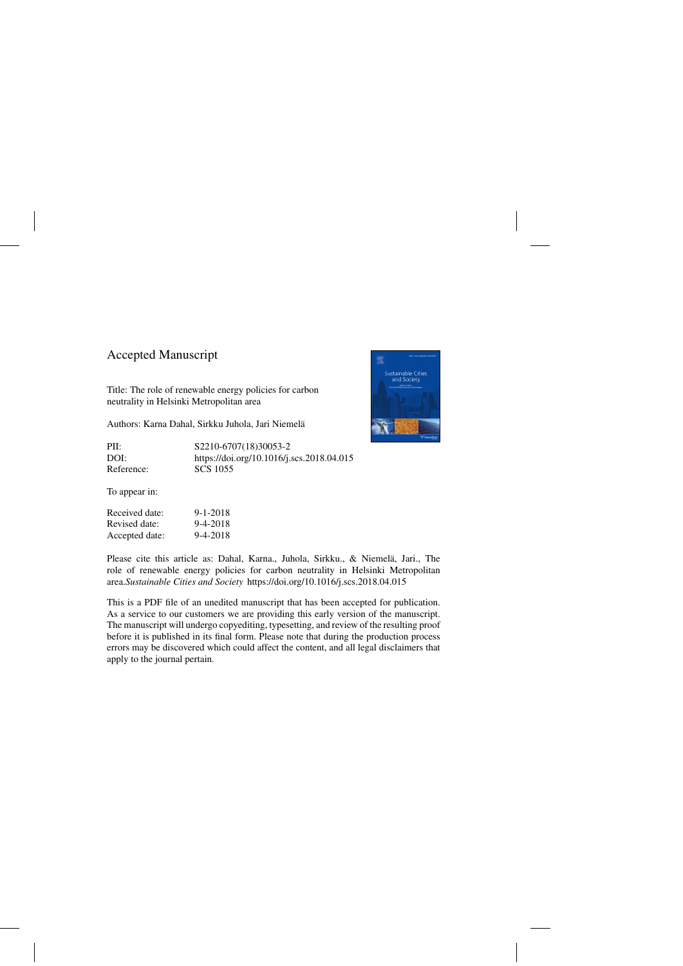## Accepted Manuscript

Title: The role of renewable energy policies for carbon neutrality in Helsinki Metropolitan area

Authors: Karna Dahal, Sirkku Juhola, Jari Niemela¨

| PII:       | \$2210-6707(18)30053-2                    |
|------------|-------------------------------------------|
| DOI:       | https://doi.org/10.1016/j.scs.2018.04.015 |
| Reference: | SCS 1055                                  |

To appear in:

| Received date: | 9-1-2018 |
|----------------|----------|
| Revised date:  | 9-4-2018 |
| Accepted date: | 9-4-2018 |



Please cite this article as: Dahal, Karna., Juhola, Sirkku., & Niemelä, Jari., The role of renewable energy policies for carbon neutrality in Helsinki Metropolitan area.*Sustainable Cities and Society* <https://doi.org/10.1016/j.scs.2018.04.015>

This is a PDF file of an unedited manuscript that has been accepted for publication. As a service to our customers we are providing this early version of the manuscript. The manuscript will undergo copyediting, typesetting, and review of the resulting proof before it is published in its final form. Please note that during the production process errors may be discovered which could affect the content, and all legal disclaimers that apply to the journal pertain.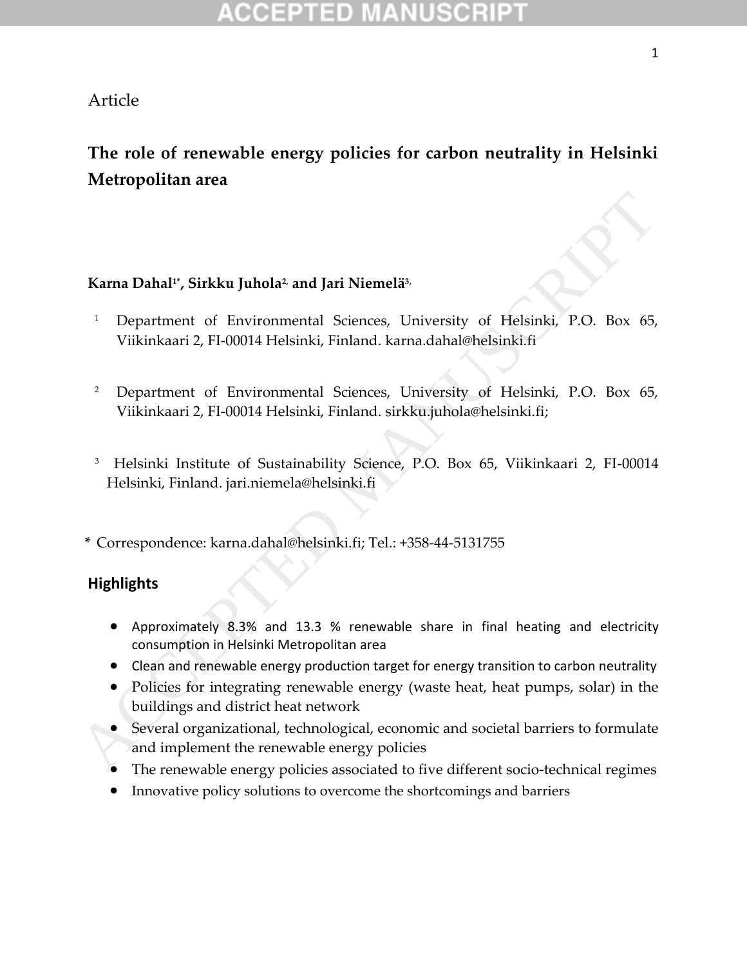### Article

# **The role of renewable energy policies for carbon neutrality in Helsinki Metropolitan area**

### **Karna Dahal1\*, Sirkku Juhola2, and Jari Niemelä3,**

- <sup>1</sup> Department of Environmental Sciences, University of Helsinki, P.O. Box 65, Viikinkaari 2, FI-00014 Helsinki, Finland. karna.dahal@helsinki.fi **Exam Dahal", Sirkku Juhola<sup>2</sup> and Jari Niemelä<sup>5</sup><br>
2 Department of Environmental Sciences, University of Helsinki, P.O. Box 65, Viikinkaari 2, FL-00014 Helsinki, Finland, karna.dahal@helsinki.fi<br>
2 Department of Environm** 
	- <sup>2</sup> Department of Environmental Sciences, University of Helsinki, P.O. Box 65, Viikinkaari 2, FI-00014 Helsinki, Finland. sirkku.juhola@helsinki.fi;
	- <sup>3</sup> Helsinki Institute of Sustainability Science, P.O. Box 65, Viikinkaari 2, FI-00014 Helsinki, Finland. jari.niemela@helsinki.fi

**\*** Correspondence: karna.dahal@helsinki.fi; Tel.: +358-44-5131755

### **Highlights**

- Approximately 8.3% and 13.3 % renewable share in final heating and electricity consumption in Helsinki Metropolitan area
- Clean and renewable energy production target for energy transition to carbon neutrality
- Policies for integrating renewable energy (waste heat, heat pumps, solar) in the buildings and district heat network
- Several organizational, technological, economic and societal barriers to formulate and implement the renewable energy policies
- 
- Innovative policy solutions to overcome the shortcomings and barriers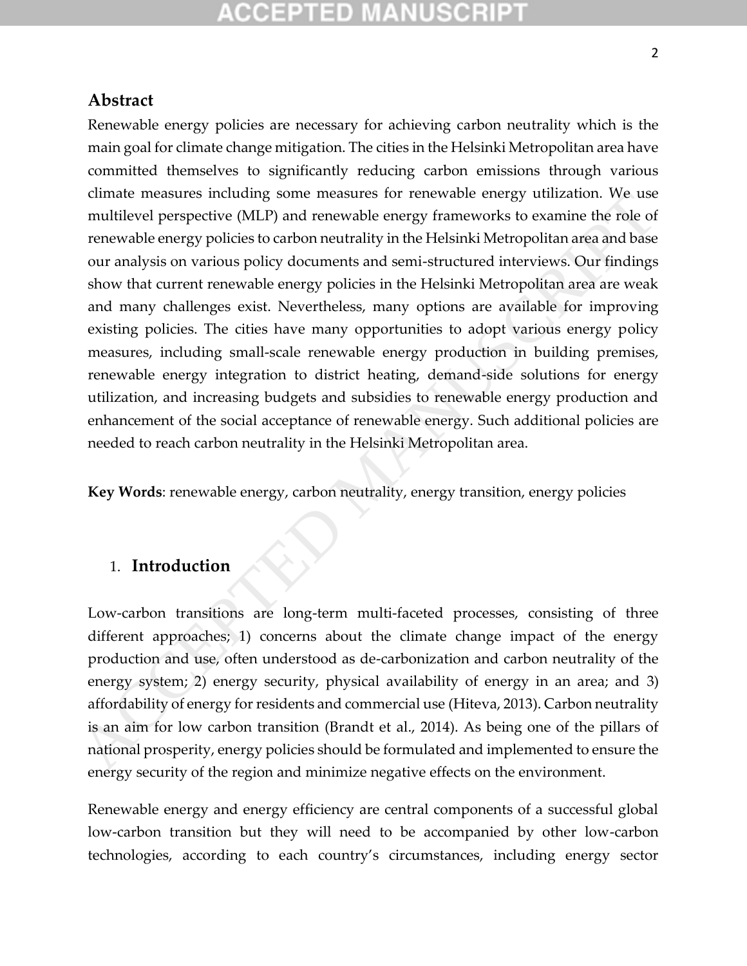## **Abstract**

Renewable energy policies are necessary for achieving carbon neutrality which is the main goal for climate change mitigation. The cities in the Helsinki Metropolitan area have committed themselves to significantly reducing carbon emissions through various climate measures including some measures for renewable energy utilization. We use multilevel perspective (MLP) and renewable energy frameworks to examine the role of renewable energy policies to carbon neutrality in the Helsinki Metropolitan area and base our analysis on various policy documents and semi-structured interviews. Our findings show that current renewable energy policies in the Helsinki Metropolitan area are weak and many challenges exist. Nevertheless, many options are available for improving existing policies. The cities have many opportunities to adopt various energy policy measures, including small-scale renewable energy production in building premises, renewable energy integration to district heating, demand-side solutions for energy utilization, and increasing budgets and subsidies to renewable energy production and enhancement of the social acceptance of renewable energy. Such additional policies are needed to reach carbon neutrality in the Helsinki Metropolitan area. dimate measures including some measures for trenewable energy timization. We use<br>method renewable energy constrained energy furneworks to examine the role of<br>renewable energy policies to carbon neutrality in the Helsinki M

**Key Words**: renewable energy, carbon neutrality, energy transition, energy policies

### 1. **Introduction**

Low-carbon transitions are long-term multi-faceted processes, consisting of three different approaches; 1) concerns about the climate change impact of the energy production and use, often understood as de-carbonization and carbon neutrality of the energy system; 2) energy security, physical availability of energy in an area; and 3) affordability of energy for residents and commercial use (Hiteva, 2013). Carbon neutrality is an aim for low carbon transition (Brandt et al., 2014). As being one of the pillars of national prosperity, energy policies should be formulated and implemented to ensure the energy security of the region and minimize negative effects on the environment.

Renewable energy and energy efficiency are central components of a successful global low-carbon transition but they will need to be accompanied by other low-carbon technologies, according to each country's circumstances, including energy sector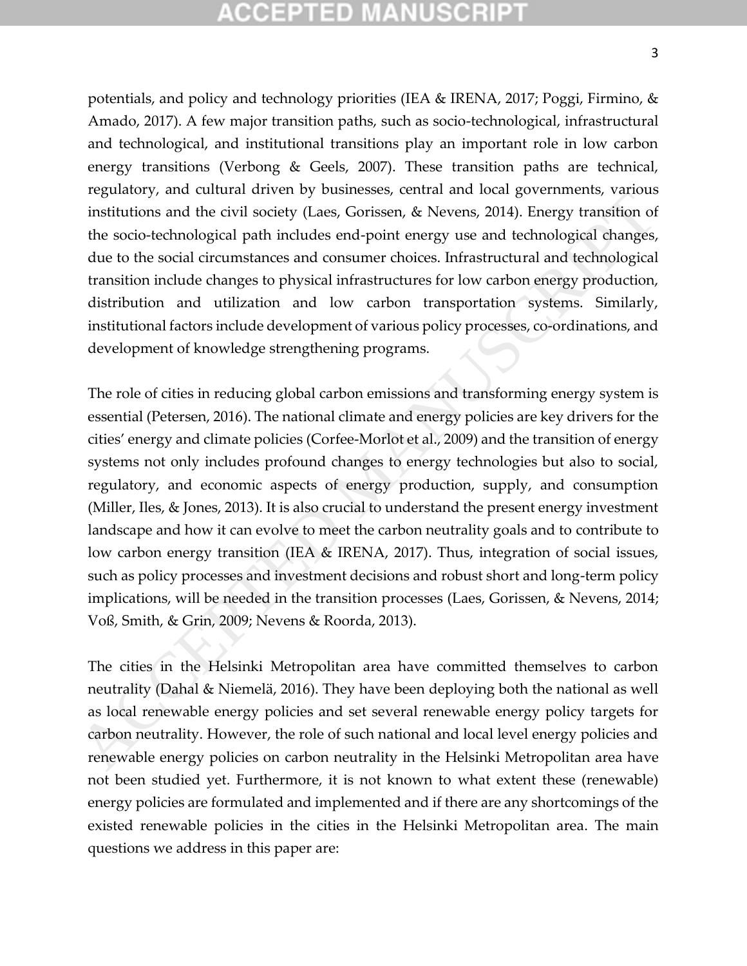# (CHP) HED)

potentials, and policy and technology priorities (IEA & IRENA, 2017; Poggi, Firmino, & Amado, 2017). A few major transition paths, such as socio-technological, infrastructural and technological, and institutional transitions play an important role in low carbon energy transitions (Verbong & Geels, 2007). These transition paths are technical, regulatory, and cultural driven by businesses, central and local governments, various institutions and the civil society (Laes, Gorissen, & Nevens, 2014). Energy transition of the socio-technological path includes end-point energy use and technological changes, due to the social circumstances and consumer choices. Infrastructural and technological transition include changes to physical infrastructures for low carbon energy production, distribution and utilization and low carbon transportation systems. Similarly, institutional factors include development of various policy processes, co-ordinations, and development of knowledge strengthening programs.

The role of cities in reducing global carbon emissions and transforming energy system is essential (Petersen, 2016). The national climate and energy policies are key drivers for the cities' energy and climate policies (Corfee-Morlot et al., 2009) and the transition of energy systems not only includes profound changes to energy technologies but also to social, regulatory, and economic aspects of energy production, supply, and consumption (Miller, Iles, & Jones, 2013). It is also crucial to understand the present energy investment landscape and how it can evolve to meet the carbon neutrality goals and to contribute to low carbon energy transition (IEA & IRENA, 2017). Thus, integration of social issues, such as policy processes and investment decisions and robust short and long-term policy implications, will be needed in the transition processes (Laes, Gorissen, & Nevens, 2014; Voß, Smith, & Grin, 2009; Nevens & Roorda, 2013). regulatory, and cumuma univer by volantized may be entergy intergentially and the rist in the Helpinki missiliutions and the civil soletic prosessor, e. Nevens, 2014). Energy transition of the socio-technological path inc

The cities in the Helsinki Metropolitan area have committed themselves to carbon neutrality (Dahal & Niemelä, 2016). They have been deploying both the national as well as local renewable energy policies and set several renewable energy policy targets for carbon neutrality. However, the role of such national and local level energy policies and renewable energy policies on carbon neutrality in the Helsinki Metropolitan area have not been studied yet. Furthermore, it is not known to what extent these (renewable) energy policies are formulated and implemented and if there are any shortcomings of the existed renewable policies in the cities in the Helsinki Metropolitan area. The main questions we address in this paper are: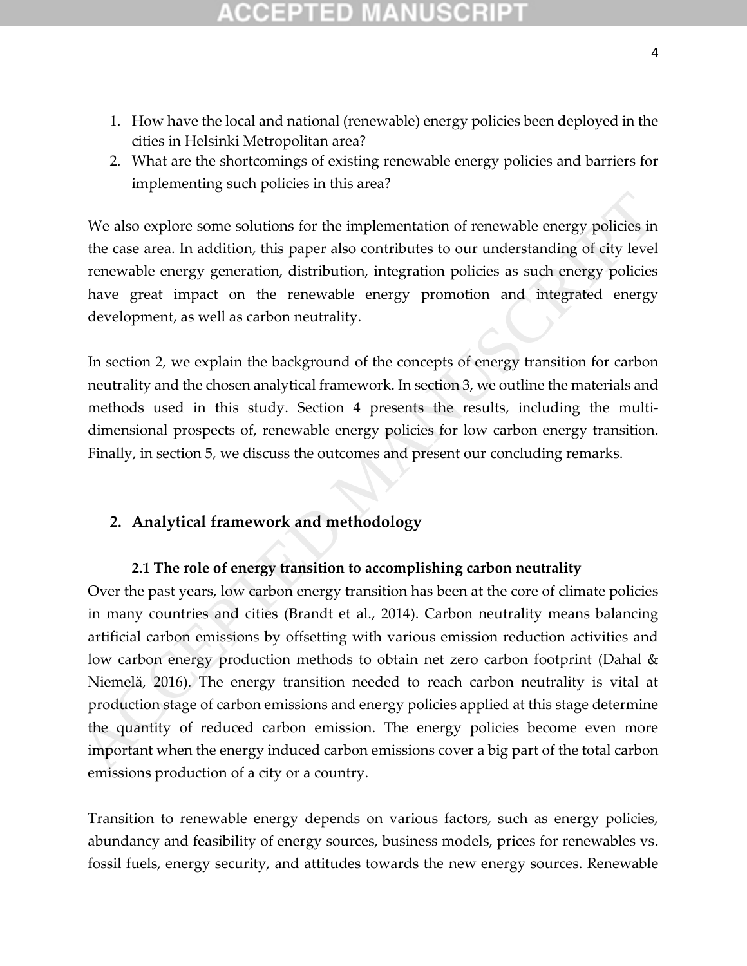- 1. How have the local and national (renewable) energy policies been deployed in the cities in Helsinki Metropolitan area?
- 2. What are the shortcomings of existing renewable energy policies and barriers for implementing such policies in this area?

We also explore some solutions for the implementation of renewable energy policies in the case area. In addition, this paper also contributes to our understanding of city level renewable energy generation, distribution, integration policies as such energy policies have great impact on the renewable energy promotion and integrated energy development, as well as carbon neutrality.

In section 2, we explain the background of the concepts of energy transition for carbon neutrality and the chosen analytical framework. In section 3, we outline the materials and methods used in this study. Section 4 presents the results, including the multidimensional prospects of, renewable energy policies for low carbon energy transition. Finally, in section 5, we discuss the outcomes and present our concluding remarks.

### **2. Analytical framework and methodology**

### **2.1 The role of energy transition to accomplishing carbon neutrality**

Over the past years, low carbon energy transition has been at the core of climate policies in many countries and cities (Brandt et al., 2014). Carbon neutrality means balancing artificial carbon emissions by offsetting with various emission reduction activities and low carbon energy production methods to obtain net zero carbon footprint (Dahal & Niemelä, 2016). The energy transition needed to reach carbon neutrality is vital at production stage of carbon emissions and energy policies applied at this stage determine the quantity of reduced carbon emission. The energy policies become even more important when the energy induced carbon emissions cover a big part of the total carbon emissions production of a city or a country. We also explore some solutions for the implementation of renewable energy policies in the case area. In addition, this paper also contributes to our understanding of city level<br>renewable energy generation, distribution, i

Transition to renewable energy depends on various factors, such as energy policies, abundancy and feasibility of energy sources, business models, prices for renewables vs. fossil fuels, energy security, and attitudes towards the new energy sources. Renewable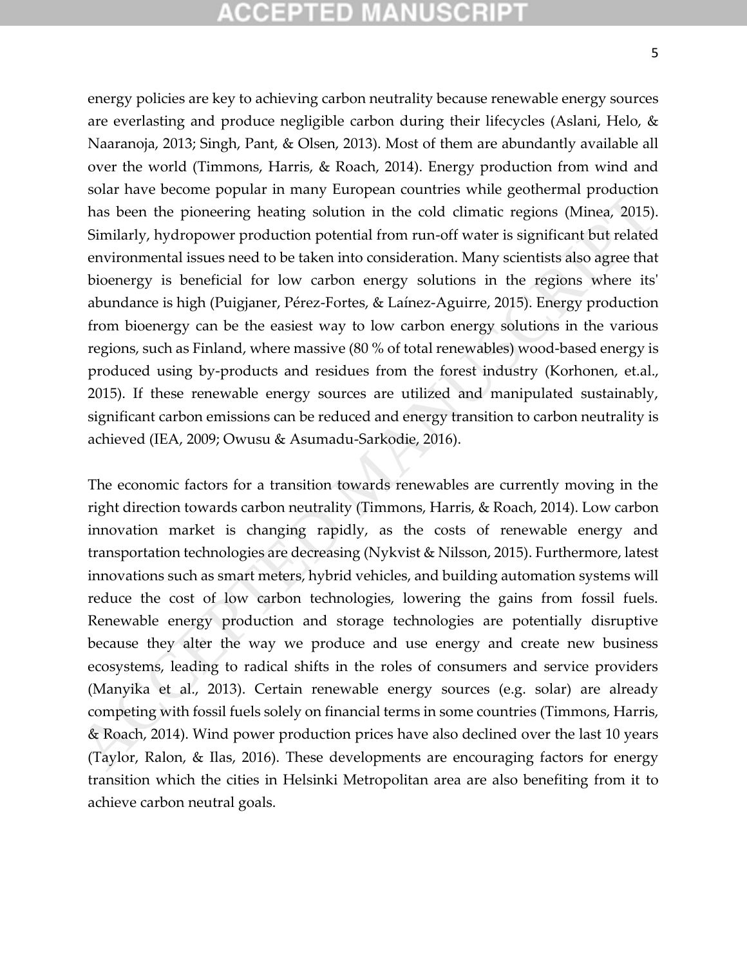# CGEPTED M

energy policies are key to achieving carbon neutrality because renewable energy sources are everlasting and produce negligible carbon during their lifecycles (Aslani, Helo, & Naaranoja, 2013; Singh, Pant, & Olsen, 2013). Most of them are abundantly available all over the world (Timmons, Harris, & Roach, 2014). Energy production from wind and solar have become popular in many European countries while geothermal production has been the pioneering heating solution in the cold climatic regions (Minea, 2015). Similarly, hydropower production potential from run-off water is significant but related environmental issues need to be taken into consideration. Many scientists also agree that bioenergy is beneficial for low carbon energy solutions in the regions where its' abundance is high (Puigjaner, Pérez-Fortes, & Laínez-Aguirre, 2015). Energy production from bioenergy can be the easiest way to low carbon energy solutions in the various regions, such as Finland, where massive (80 % of total renewables) wood-based energy is produced using by-products and residues from the forest industry (Korhonen, et.al., 2015). If these renewable energy sources are utilized and manipulated sustainably, significant carbon emissions can be reduced and energy transition to carbon neutrality is achieved (IEA, 2009; Owusu & Asumadu-Sarkodie, 2016).

The economic factors for a transition towards renewables are currently moving in the right direction towards carbon neutrality (Timmons, Harris, & Roach, 2014). Low carbon innovation market is changing rapidly, as the costs of renewable energy and transportation technologies are decreasing (Nykvist & Nilsson, 2015). Furthermore, latest innovations such as smart meters, hybrid vehicles, and building automation systems will reduce the cost of low carbon technologies, lowering the gains from fossil fuels. Renewable energy production and storage technologies are potentially disruptive because they alter the way we produce and use energy and create new business ecosystems, leading to radical shifts in the roles of consumers and service providers (Manyika et al., 2013). Certain renewable energy sources (e.g. solar) are already competing with fossil fuels solely on financial terms in some countries (Timmons, Harris, & Roach, 2014). Wind power production prices have also declined over the last 10 years (Taylor, Ralon, & Ilas, 2016). These developments are encouraging factors for energy transition which the cities in Helsinki Metropolitan area are also benefiting from it to achieve carbon neutral goals. some rate become popular at many competer contracts wire geodienting potentions with possibles beson (Minega Sults). Similarly, hydropower production potential from run-off water is significant but related environmental i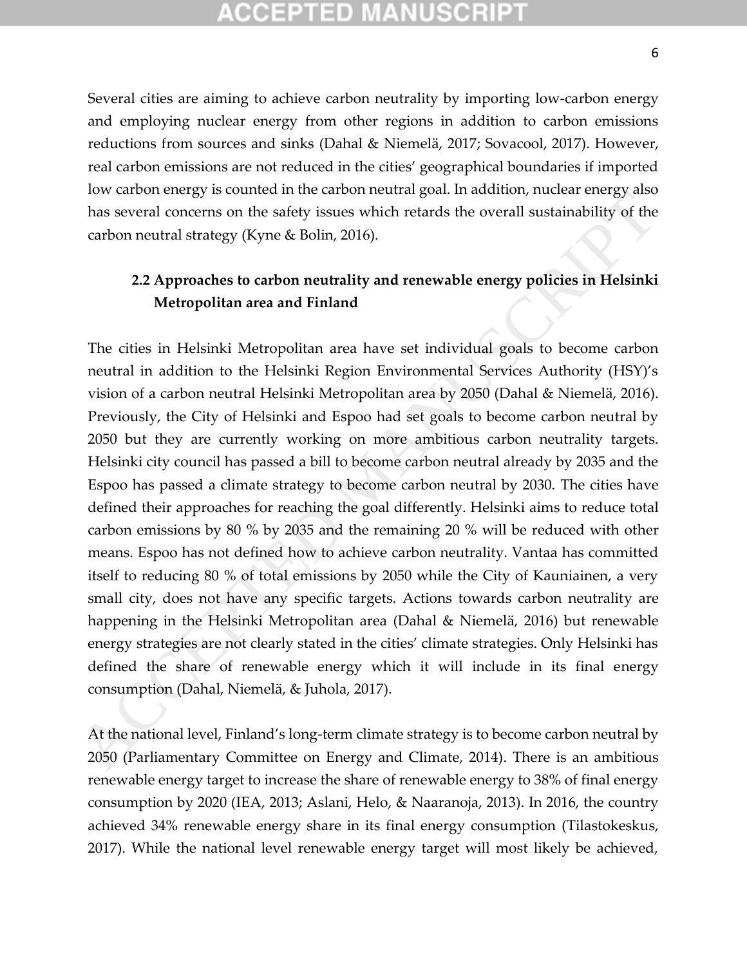## COEPTED M

Several cities are aiming to achieve carbon neutrality by importing low-carbon energy and employing nuclear energy from other regions in addition to carbon emissions reductions from sources and sinks (Dahal & Niemelä, 2017; Sovacool, 2017). However, real carbon emissions are not reduced in the cities' geographical boundaries if imported low carbon energy is counted in the carbon neutral goal. In addition, nuclear energy also has several concerns on the safety issues which retards the overall sustainability of the carbon neutral strategy (Kyne & Bolin, 2016).

### **2.2 Approaches to carbon neutrality and renewable energy policies in Helsinki Metropolitan area and Finland**

The cities in Helsinki Metropolitan area have set individual goals to become carbon neutral in addition to the Helsinki Region Environmental Services Authority (HSY)'s vision of a carbon neutral Helsinki Metropolitan area by 2050 (Dahal & Niemelä, 2016). Previously, the City of Helsinki and Espoo had set goals to become carbon neutral by 2050 but they are currently working on more ambitious carbon neutrality targets. Helsinki city council has passed a bill to become carbon neutral already by 2035 and the Espoo has passed a climate strategy to become carbon neutral by 2030. The cities have defined their approaches for reaching the goal differently. Helsinki aims to reduce total carbon emissions by 80 % by 2035 and the remaining 20 % will be reduced with other means. Espoo has not defined how to achieve carbon neutrality. Vantaa has committed itself to reducing 80 % of total emissions by 2050 while the City of Kauniainen, a very small city, does not have any specific targets. Actions towards carbon neutrality are happening in the Helsinki Metropolitan area (Dahal & Niemelä, 2016) but renewable energy strategies are not clearly stated in the cities' climate strategies. Only Helsinki has defined the share of renewable energy which it will include in its final energy consumption (Dahal, Niemelä, & Juhola, 2017). For anotheringy as connect mure canon method and gata in actual policies has several concerns on the safety issues which retards the overall sustainability of the cabon neutral strategy (Kyne & Bolin, 2016).<br>
2.2 Approach

At the national level, Finland's long-term climate strategy is to become carbon neutral by 2050 (Parliamentary Committee on Energy and Climate, 2014). There is an ambitious renewable energy target to increase the share of renewable energy to 38% of final energy consumption by 2020 (IEA, 2013; Aslani, Helo, & Naaranoja, 2013). In 2016, the country achieved 34% renewable energy share in its final energy consumption (Tilastokeskus, 2017). While the national level renewable energy target will most likely be achieved,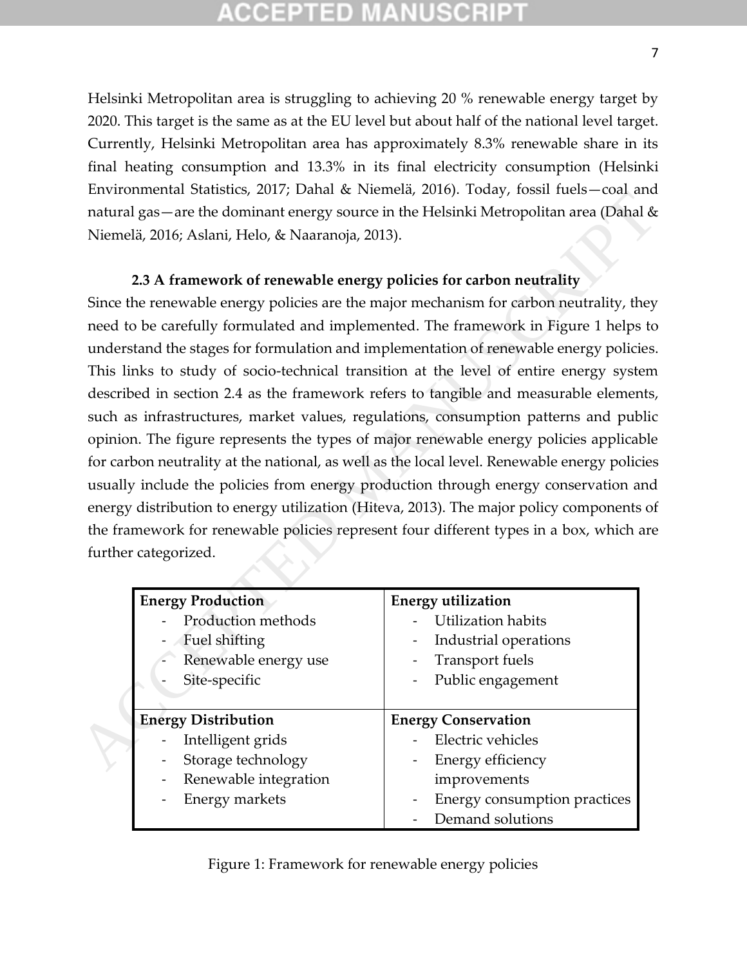Helsinki Metropolitan area is struggling to achieving 20 % renewable energy target by 2020. This target is the same as at the EU level but about half of the national level target. Currently, Helsinki Metropolitan area has approximately 8.3% renewable share in its final heating consumption and 13.3% in its final electricity consumption (Helsinki Environmental Statistics, 2017; Dahal & Niemelä, 2016). Today, fossil fuels—coal and natural gas—are the dominant energy source in the Helsinki Metropolitan area (Dahal & Niemelä, 2016; Aslani, Helo, & Naaranoja, 2013).

#### **2.3 A framework of renewable energy policies for carbon neutrality**

Since the renewable energy policies are the major mechanism for carbon neutrality, they need to be carefully formulated and implemented. The framework in Figure 1 helps to understand the stages for formulation and implementation of renewable energy policies. This links to study of socio-technical transition at the level of entire energy system described in section 2.4 as the framework refers to tangible and measurable elements, such as infrastructures, market values, regulations, consumption patterns and public opinion. The figure represents the types of major renewable energy policies applicable for carbon neutrality at the national, as well as the local level. Renewable energy policies usually include the policies from energy production through energy conservation and energy distribution to energy utilization (Hiteva, 2013). The major policy components of the framework for renewable policies represent four different types in a box, which are further categorized. Accountined a botanical solar control in the simulation and the simulation and the simulation of the simulation of the Helsinki Metropolitan area (Dahal & Niemelä, 2016; Aslani, Helo, & Naaranoja, 2013).<br>
2.3 A framework o

| <b>Energy Production</b>                          | <b>Energy utilization</b>    |  |  |
|---------------------------------------------------|------------------------------|--|--|
| Production methods                                | <b>Utilization habits</b>    |  |  |
| Fuel shifting<br>$\blacksquare$                   | Industrial operations        |  |  |
| Renewable energy use<br>$\blacksquare$            | <b>Transport fuels</b>       |  |  |
| Site-specific                                     | Public engagement            |  |  |
|                                                   |                              |  |  |
| <b>Energy Distribution</b>                        | <b>Energy Conservation</b>   |  |  |
| Intelligent grids                                 | Electric vehicles            |  |  |
| Storage technology<br>$\overline{\phantom{0}}$    | Energy efficiency            |  |  |
| Renewable integration<br>÷                        | improvements                 |  |  |
| <b>Energy markets</b><br>$\overline{\phantom{0}}$ | Energy consumption practices |  |  |
|                                                   | Demand solutions             |  |  |

Figure 1: Framework for renewable energy policies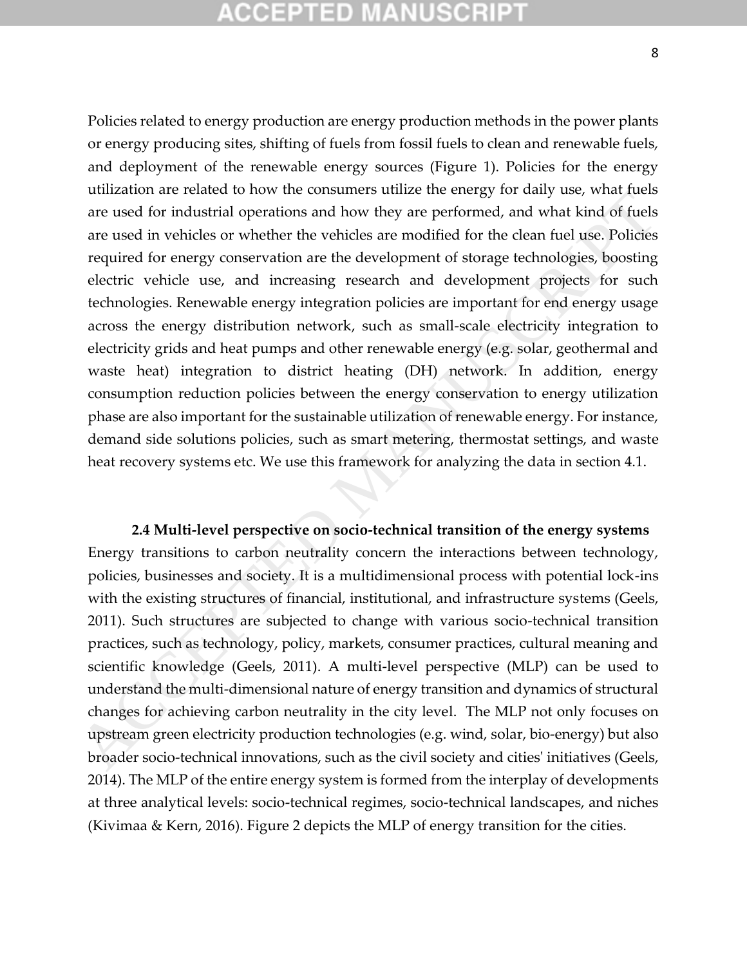Policies related to energy production are energy production methods in the power plants or energy producing sites, shifting of fuels from fossil fuels to clean and renewable fuels, and deployment of the renewable energy sources (Figure 1). Policies for the energy utilization are related to how the consumers utilize the energy for daily use, what fuels are used for industrial operations and how they are performed, and what kind of fuels are used in vehicles or whether the vehicles are modified for the clean fuel use. Policies required for energy conservation are the development of storage technologies, boosting electric vehicle use, and increasing research and development projects for such technologies. Renewable energy integration policies are important for end energy usage across the energy distribution network, such as small-scale electricity integration to electricity grids and heat pumps and other renewable energy (e.g. solar, geothermal and waste heat) integration to district heating (DH) network. In addition, energy consumption reduction policies between the energy conservation to energy utilization phase are also important for the sustainable utilization of renewable energy. For instance, demand side solutions policies, such as smart metering, thermostat settings, and waste heat recovery systems etc. We use this framework for analyzing the data in section 4.1. and and extends to move to usually and the ensign of the ensign of the ensign of the ensign of the steel of industrial operations and how they are performed, and what kind of fuels are used in vehicles or whether the vehi

**2.4 Multi-level perspective on socio-technical transition of the energy systems**  Energy transitions to carbon neutrality concern the interactions between technology, policies, businesses and society. It is a multidimensional process with potential lock-ins with the existing structures of financial, institutional, and infrastructure systems (Geels, 2011). Such structures are subjected to change with various socio-technical transition practices, such as technology, policy, markets, consumer practices, cultural meaning and scientific knowledge (Geels, 2011). A multi-level perspective (MLP) can be used to understand the multi-dimensional nature of energy transition and dynamics of structural changes for achieving carbon neutrality in the city level. The MLP not only focuses on upstream green electricity production technologies (e.g. wind, solar, bio-energy) but also broader socio-technical innovations, such as the civil society and cities' initiatives (Geels, 2014). The MLP of the entire energy system is formed from the interplay of developments at three analytical levels: socio-technical regimes, socio-technical landscapes, and niches (Kivimaa & Kern, 2016). Figure 2 depicts the MLP of energy transition for the cities.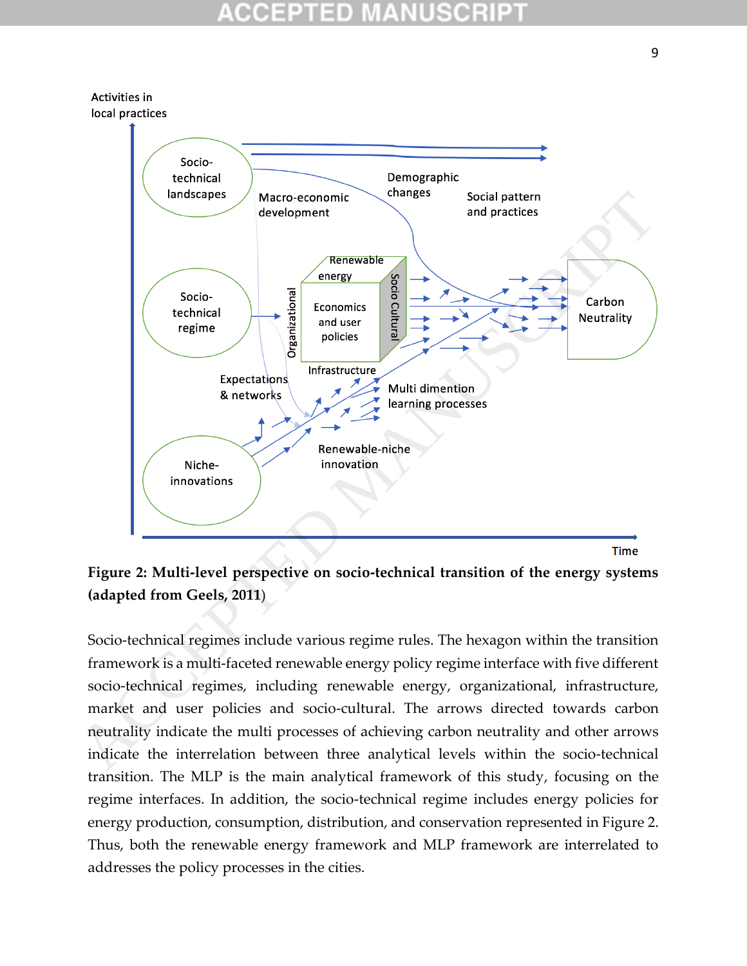

**Figure 2: Multi-level perspective on socio-technical transition of the energy systems (adapted from Geels, 2011**)

Socio-technical regimes include various regime rules. The hexagon within the transition framework is a multi-faceted renewable energy policy regime interface with five different socio-technical regimes, including renewable energy, organizational, infrastructure, market and user policies and socio-cultural. The arrows directed towards carbon neutrality indicate the multi processes of achieving carbon neutrality and other arrows indicate the interrelation between three analytical levels within the socio-technical transition. The MLP is the main analytical framework of this study, focusing on the regime interfaces. In addition, the socio-technical regime includes energy policies for energy production, consumption, distribution, and conservation represented in Figure 2. Thus, both the renewable energy framework and MLP framework are interrelated to addresses the policy processes in the cities.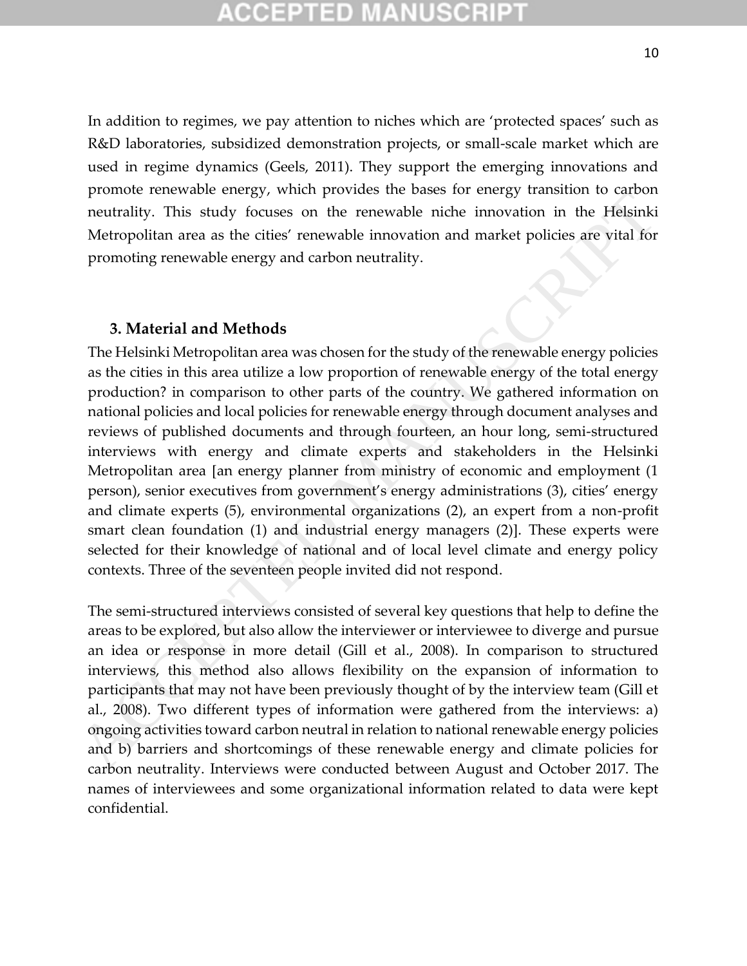In addition to regimes, we pay attention to niches which are 'protected spaces' such as R&D laboratories, subsidized demonstration projects, or small-scale market which are used in regime dynamics (Geels, 2011). They support the emerging innovations and promote renewable energy, which provides the bases for energy transition to carbon neutrality. This study focuses on the renewable niche innovation in the Helsinki Metropolitan area as the cities' renewable innovation and market policies are vital for promoting renewable energy and carbon neutrality.

#### **3. Material and Methods**

The Helsinki Metropolitan area was chosen for the study of the renewable energy policies as the cities in this area utilize a low proportion of renewable energy of the total energy production? in comparison to other parts of the country. We gathered information on national policies and local policies for renewable energy through document analyses and reviews of published documents and through fourteen, an hour long, semi-structured interviews with energy and climate experts and stakeholders in the Helsinki Metropolitan area [an energy planner from ministry of economic and employment (1 person), senior executives from government's energy administrations (3), cities' energy and climate experts (5), environmental organizations (2), an expert from a non-profit smart clean foundation (1) and industrial energy managers (2)]. These experts were selected for their knowledge of national and of local level climate and energy policy contexts. Three of the seventeen people invited did not respond. power energy, we may be energy and control in the previous the cases of energy than the desirable increases on the renewable incident in the Helsinki Metropolitan area as the cities' renewable innovation and market polici

The semi-structured interviews consisted of several key questions that help to define the areas to be explored, but also allow the interviewer or interviewee to diverge and pursue an idea or response in more detail (Gill et al., 2008). In comparison to structured interviews, this method also allows flexibility on the expansion of information to participants that may not have been previously thought of by the interview team (Gill et al., 2008). Two different types of information were gathered from the interviews: a) ongoing activities toward carbon neutral in relation to national renewable energy policies and b) barriers and shortcomings of these renewable energy and climate policies for carbon neutrality. Interviews were conducted between August and October 2017. The names of interviewees and some organizational information related to data were kept confidential.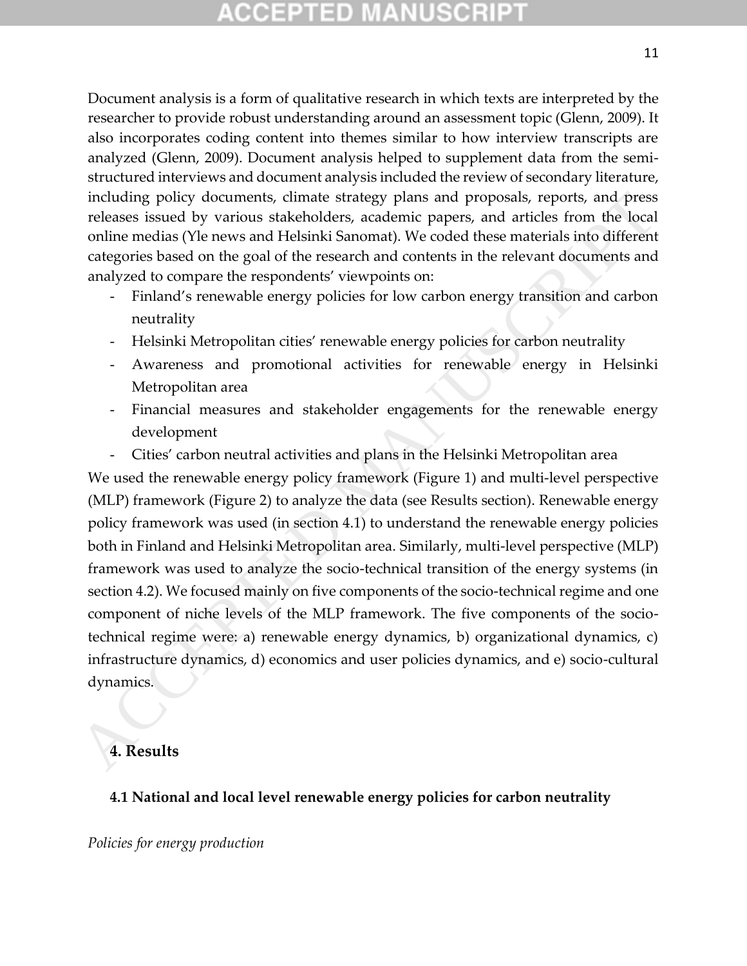# CCEPTED MANUSCR

Document analysis is a form of qualitative research in which texts are interpreted by the researcher to provide robust understanding around an assessment topic (Glenn, 2009). It also incorporates coding content into themes similar to how interview transcripts are analyzed (Glenn, 2009). Document analysis helped to supplement data from the semistructured interviews and document analysis included the review of secondary literature, including policy documents, climate strategy plans and proposals, reports, and press releases issued by various stakeholders, academic papers, and articles from the local online medias (Yle news and Helsinki Sanomat). We coded these materials into different categories based on the goal of the research and contents in the relevant documents and analyzed to compare the respondents' viewpoints on:

- Finland's renewable energy policies for low carbon energy transition and carbon neutrality
- Helsinki Metropolitan cities' renewable energy policies for carbon neutrality
- Awareness and promotional activities for renewable energy in Helsinki Metropolitan area
- Financial measures and stakeholder engagements for the renewable energy development
- Cities' carbon neutral activities and plans in the Helsinki Metropolitan area

We used the renewable energy policy framework (Figure 1) and multi-level perspective (MLP) framework (Figure 2) to analyze the data (see Results section). Renewable energy policy framework was used (in section 4.1) to understand the renewable energy policies both in Finland and Helsinki Metropolitan area. Similarly, multi-level perspective (MLP) framework was used to analyze the socio-technical transition of the energy systems (in section 4.2). We focused mainly on five components of the socio-technical regime and one component of niche levels of the MLP framework. The five components of the sociotechnical regime were: a) renewable energy dynamics, b) organizational dynamics, c) infrastructure dynamics, d) economics and user policies dynamics, and e) socio-cultural dynamics. including policy documents, climate strategy plans and proposals, reports, and process issued by various stakeholders, academic paper, and articles form the local<br>online medias (Ye news and Helsinki Sanomat). We coded the

#### **4. Results**

#### **4.1 National and local level renewable energy policies for carbon neutrality**

*Policies for energy production*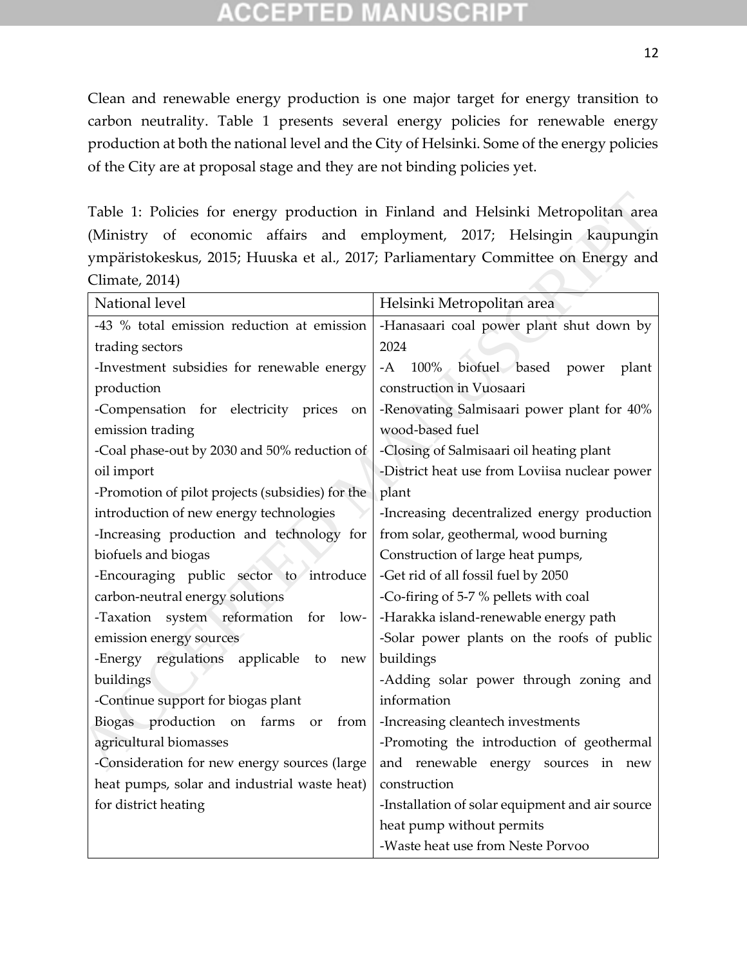# ID

Clean and renewable energy production is one major target for energy transition to carbon neutrality. Table 1 presents several energy policies for renewable energy production at both the national level and the City of Helsinki. Some of the energy policies of the City are at proposal stage and they are not binding policies yet.

| Table 1: Policies for energy production in Finland and Helsinki Metropolitan area |                                                 |  |  |  |  |
|-----------------------------------------------------------------------------------|-------------------------------------------------|--|--|--|--|
| (Ministry of economic affairs and employment, 2017; Helsingin kaupungin           |                                                 |  |  |  |  |
| ympäristokeskus, 2015; Huuska et al., 2017; Parliamentary Committee on Energy and |                                                 |  |  |  |  |
| Climate, 2014)                                                                    |                                                 |  |  |  |  |
| National level                                                                    | Helsinki Metropolitan area                      |  |  |  |  |
| -43 % total emission reduction at emission                                        | -Hanasaari coal power plant shut down by        |  |  |  |  |
| trading sectors                                                                   | 2024                                            |  |  |  |  |
| -Investment subsidies for renewable energy                                        | biofuel based power<br>-A<br>$100\%$<br>plant   |  |  |  |  |
| production                                                                        | construction in Vuosaari                        |  |  |  |  |
| -Compensation for electricity prices<br>on                                        | -Renovating Salmisaari power plant for 40%      |  |  |  |  |
| emission trading                                                                  | wood-based fuel                                 |  |  |  |  |
| -Coal phase-out by 2030 and 50% reduction of                                      | -Closing of Salmisaari oil heating plant        |  |  |  |  |
| oil import                                                                        | -District heat use from Loviisa nuclear power   |  |  |  |  |
| -Promotion of pilot projects (subsidies) for the                                  | plant                                           |  |  |  |  |
| introduction of new energy technologies                                           | -Increasing decentralized energy production     |  |  |  |  |
| -Increasing production and technology for                                         | from solar, geothermal, wood burning            |  |  |  |  |
| biofuels and biogas                                                               | Construction of large heat pumps,               |  |  |  |  |
| -Encouraging public sector to introduce                                           | -Get rid of all fossil fuel by 2050             |  |  |  |  |
| carbon-neutral energy solutions                                                   | -Co-firing of 5-7 % pellets with coal           |  |  |  |  |
| -Taxation system reformation for<br>low-                                          | -Harakka island-renewable energy path           |  |  |  |  |
| emission energy sources                                                           | -Solar power plants on the roofs of public      |  |  |  |  |
| -Energy regulations applicable to<br>new                                          | buildings                                       |  |  |  |  |
| buildings                                                                         | -Adding solar power through zoning and          |  |  |  |  |
| -Continue support for biogas plant                                                | information                                     |  |  |  |  |
| Biogas production<br>farms<br>from<br>on<br>or                                    | -Increasing cleantech investments               |  |  |  |  |
| agricultural biomasses                                                            | -Promoting the introduction of geothermal       |  |  |  |  |
| -Consideration for new energy sources (large                                      | and renewable energy sources in new             |  |  |  |  |
| heat pumps, solar and industrial waste heat)                                      | construction                                    |  |  |  |  |
| for district heating                                                              | -Installation of solar equipment and air source |  |  |  |  |
|                                                                                   | heat pump without permits                       |  |  |  |  |
|                                                                                   | -Waste heat use from Neste Porvoo               |  |  |  |  |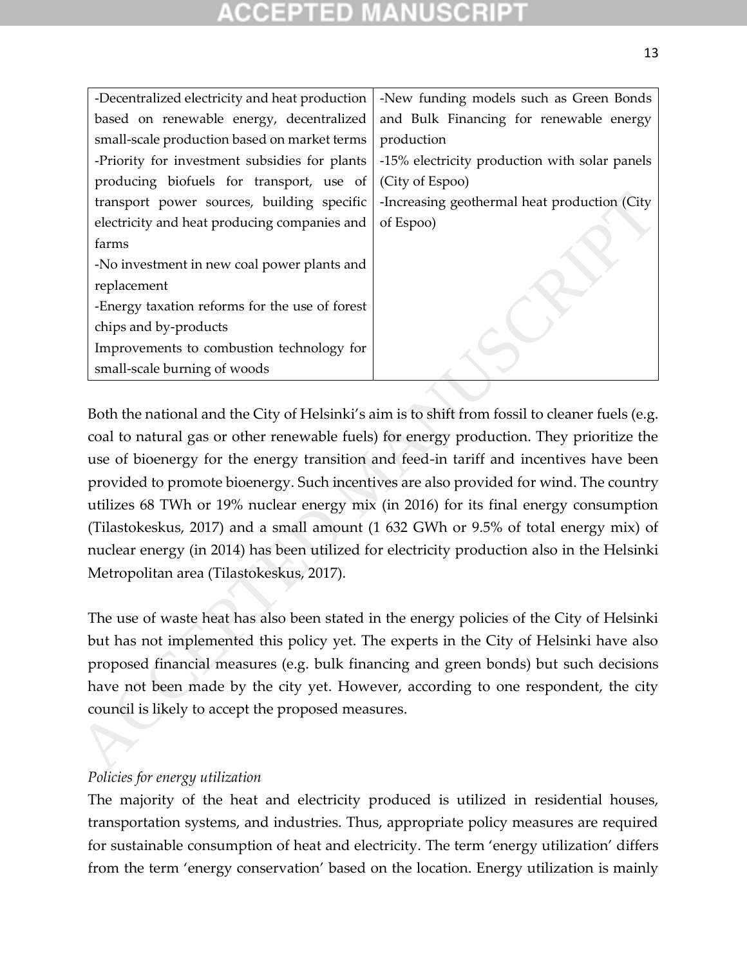| -Decentralized electricity and heat production     | -New funding models such as Green Bonds                                                                                                                                                                                                                                                                                                                                                                                                                                                                                                                                                                                                                      |
|----------------------------------------------------|--------------------------------------------------------------------------------------------------------------------------------------------------------------------------------------------------------------------------------------------------------------------------------------------------------------------------------------------------------------------------------------------------------------------------------------------------------------------------------------------------------------------------------------------------------------------------------------------------------------------------------------------------------------|
| based on renewable energy, decentralized           | and Bulk Financing for renewable energy                                                                                                                                                                                                                                                                                                                                                                                                                                                                                                                                                                                                                      |
| small-scale production based on market terms       | production                                                                                                                                                                                                                                                                                                                                                                                                                                                                                                                                                                                                                                                   |
| -Priority for investment subsidies for plants      | -15% electricity production with solar panels                                                                                                                                                                                                                                                                                                                                                                                                                                                                                                                                                                                                                |
| producing biofuels for transport, use of           | (City of Espoo)                                                                                                                                                                                                                                                                                                                                                                                                                                                                                                                                                                                                                                              |
| transport power sources, building specific         | -Increasing geothermal heat production (City                                                                                                                                                                                                                                                                                                                                                                                                                                                                                                                                                                                                                 |
| electricity and heat producing companies and       | of Espoo)                                                                                                                                                                                                                                                                                                                                                                                                                                                                                                                                                                                                                                                    |
| farms                                              |                                                                                                                                                                                                                                                                                                                                                                                                                                                                                                                                                                                                                                                              |
| -No investment in new coal power plants and        |                                                                                                                                                                                                                                                                                                                                                                                                                                                                                                                                                                                                                                                              |
| replacement                                        |                                                                                                                                                                                                                                                                                                                                                                                                                                                                                                                                                                                                                                                              |
| -Energy taxation reforms for the use of forest     |                                                                                                                                                                                                                                                                                                                                                                                                                                                                                                                                                                                                                                                              |
| chips and by-products                              |                                                                                                                                                                                                                                                                                                                                                                                                                                                                                                                                                                                                                                                              |
| Improvements to combustion technology for          |                                                                                                                                                                                                                                                                                                                                                                                                                                                                                                                                                                                                                                                              |
| small-scale burning of woods                       |                                                                                                                                                                                                                                                                                                                                                                                                                                                                                                                                                                                                                                                              |
| Metropolitan area (Tilastokeskus, 2017).           | Both the national and the City of Helsinki's aim is to shift from fossil to cleaner fuels (e.g.<br>coal to natural gas or other renewable fuels) for energy production. They prioritize the<br>use of bioenergy for the energy transition and feed-in tariff and incentives have been<br>provided to promote bioenergy. Such incentives are also provided for wind. The country<br>utilizes 68 TWh or 19% nuclear energy mix (in 2016) for its final energy consumption<br>(Tilastokeskus, 2017) and a small amount (1 632 GWh or 9.5% of total energy mix) of<br>nuclear energy (in 2014) has been utilized for electricity production also in the Helsinki |
| council is likely to accept the proposed measures. | The use of waste heat has also been stated in the energy policies of the City of Helsinki<br>but has not implemented this policy yet. The experts in the City of Helsinki have also<br>proposed financial measures (e.g. bulk financing and green bonds) but such decisions<br>have not been made by the city yet. However, according to one respondent, the city                                                                                                                                                                                                                                                                                            |
|                                                    |                                                                                                                                                                                                                                                                                                                                                                                                                                                                                                                                                                                                                                                              |

#### *Policies for energy utilization*

The majority of the heat and electricity produced is utilized in residential houses, transportation systems, and industries. Thus, appropriate policy measures are required for sustainable consumption of heat and electricity. The term 'energy utilization' differs from the term 'energy conservation' based on the location. Energy utilization is mainly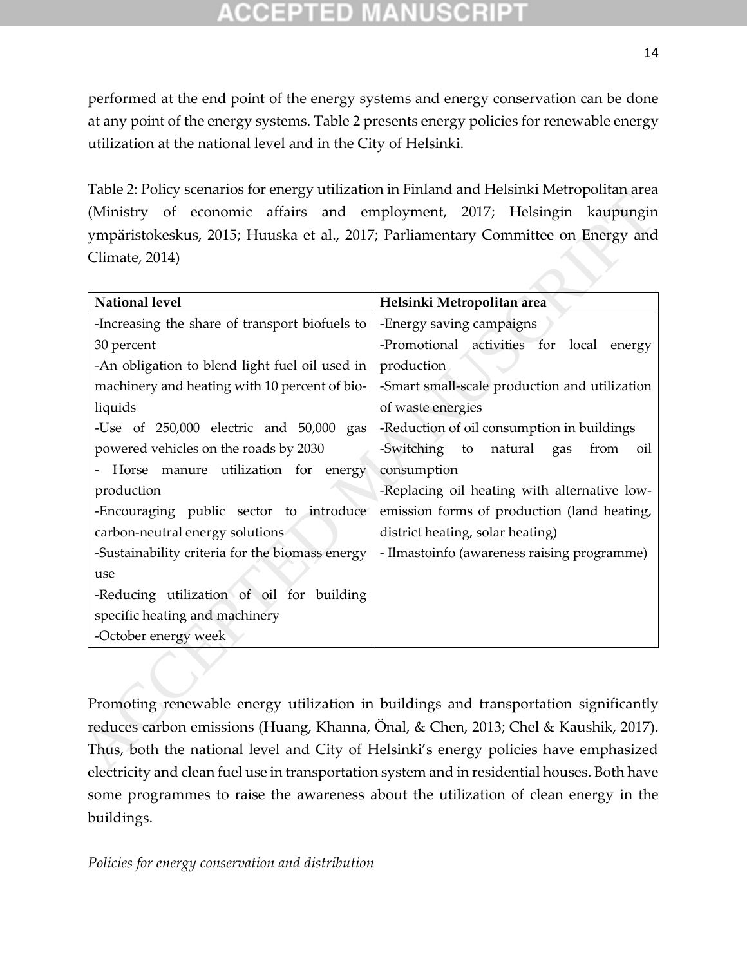performed at the end point of the energy systems and energy conservation can be done at any point of the energy systems. Table 2 presents energy policies for renewable energy utilization at the national level and in the City of Helsinki.

Table 2: Policy scenarios for energy utilization in Finland and Helsinki Metropolitan area (Ministry of economic affairs and employment, 2017; Helsingin kaupungin ympäristokeskus, 2015; Huuska et al., 2017; Parliamentary Committee on Energy and Climate, 2014)

| <b>National level</b>                                                                | Helsinki Metropolitan area                        |
|--------------------------------------------------------------------------------------|---------------------------------------------------|
| -Increasing the share of transport biofuels to                                       | -Energy saving campaigns                          |
| 30 percent                                                                           | -Promotional activities for local<br>energy       |
| -An obligation to blend light fuel oil used in                                       | production                                        |
| machinery and heating with 10 percent of bio-                                        | -Smart small-scale production and utilization     |
| liquids                                                                              | of waste energies                                 |
| -Use of 250,000 electric and 50,000 gas                                              | -Reduction of oil consumption in buildings        |
| powered vehicles on the roads by 2030                                                | -Switching<br>natural<br>to<br>from<br>gas<br>oil |
| Horse manure utilization for energy                                                  | consumption                                       |
| production                                                                           | -Replacing oil heating with alternative low-      |
| -Encouraging public sector to introduce                                              | emission forms of production (land heating,       |
| carbon-neutral energy solutions                                                      | district heating, solar heating)                  |
| -Sustainability criteria for the biomass energy                                      | - Ilmastoinfo (awareness raising programme)       |
| use                                                                                  |                                                   |
| -Reducing utilization of oil for building                                            |                                                   |
| specific heating and machinery                                                       |                                                   |
| -October energy week                                                                 |                                                   |
|                                                                                      |                                                   |
|                                                                                      |                                                   |
| Promoting renewable energy utilization in buildings and transportation significantly |                                                   |
| reduces carbon emissions (Huang, Khanna, Önal, & Chen, 2013; Chel & Kaushik, 2017).  |                                                   |
|                                                                                      |                                                   |
| Thus, both the national level and City of Helsinki's energy policies have emphasized |                                                   |

Promoting renewable energy utilization in buildings and transportation significantly reduces carbon emissions (Huang, Khanna, Önal, & Chen, 2013; Chel & Kaushik, 2017). Thus, both the national level and City of Helsinki's energy policies have emphasized electricity and clean fuel use in transportation system and in residential houses. Both have some programmes to raise the awareness about the utilization of clean energy in the buildings.

*Policies for energy conservation and distribution*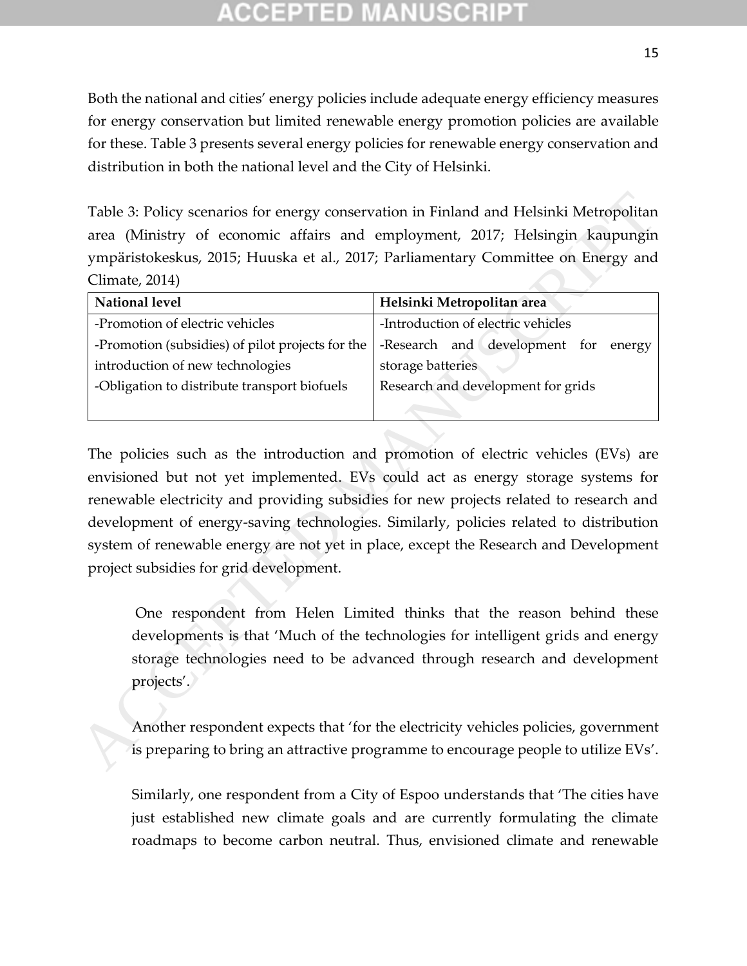Both the national and cities' energy policies include adequate energy efficiency measures for energy conservation but limited renewable energy promotion policies are available for these. Table 3 presents several energy policies for renewable energy conservation and distribution in both the national level and the City of Helsinki.

Table 3: Policy scenarios for energy conservation in Finland and Helsinki Metropolitan area (Ministry of economic affairs and employment, 2017; Helsingin kaupungin ympäristokeskus, 2015; Huuska et al., 2017; Parliamentary Committee on Energy and Climate, 2014)

| <b>National level</b>                            | Helsinki Metropolitan area           |  |  |  |
|--------------------------------------------------|--------------------------------------|--|--|--|
| -Promotion of electric vehicles                  | -Introduction of electric vehicles   |  |  |  |
| -Promotion (subsidies) of pilot projects for the | -Research and development for energy |  |  |  |
| introduction of new technologies                 | storage batteries                    |  |  |  |
| -Obligation to distribute transport biofuels     | Research and development for grids   |  |  |  |
|                                                  |                                      |  |  |  |

The policies such as the introduction and promotion of electric vehicles (EVs) are envisioned but not yet implemented. EVs could act as energy storage systems for renewable electricity and providing subsidies for new projects related to research and development of energy-saving technologies. Similarly, policies related to distribution system of renewable energy are not yet in place, except the Research and Development project subsidies for grid development.  $\begin{tabular}{l|c|c|c|c|c|c} \hline \textbf{Table 3: Policy scenarios for energy conservation in Finland and Helsinki Metropolitane area (Ministry of economic affairs and employment, 2017; Helsinki Metropolitane)}-\textbf{W1:2017; Publishing Inaupapinympirablecksekus, 2015; Huuska et al., 2017; Parliamentary Committee on Energy and Climate, 2014)\\ \hline \textbf{National level} & \textbf{Helsinki Metropolitana area} \\ \hline \textbf{1:Tromotion (subside) of plot projects for the 1-Research and development for energy introduction of new technologies} & \textbf{1:Trroduction of electric vehicles} \\ \hline \textbf{1:troduction (new techniques) of plot projects related$ 

One respondent from Helen Limited thinks that the reason behind these developments is that 'Much of the technologies for intelligent grids and energy storage technologies need to be advanced through research and development projects'.

Another respondent expects that 'for the electricity vehicles policies, government is preparing to bring an attractive programme to encourage people to utilize EVs'.

Similarly, one respondent from a City of Espoo understands that 'The cities have just established new climate goals and are currently formulating the climate roadmaps to become carbon neutral. Thus, envisioned climate and renewable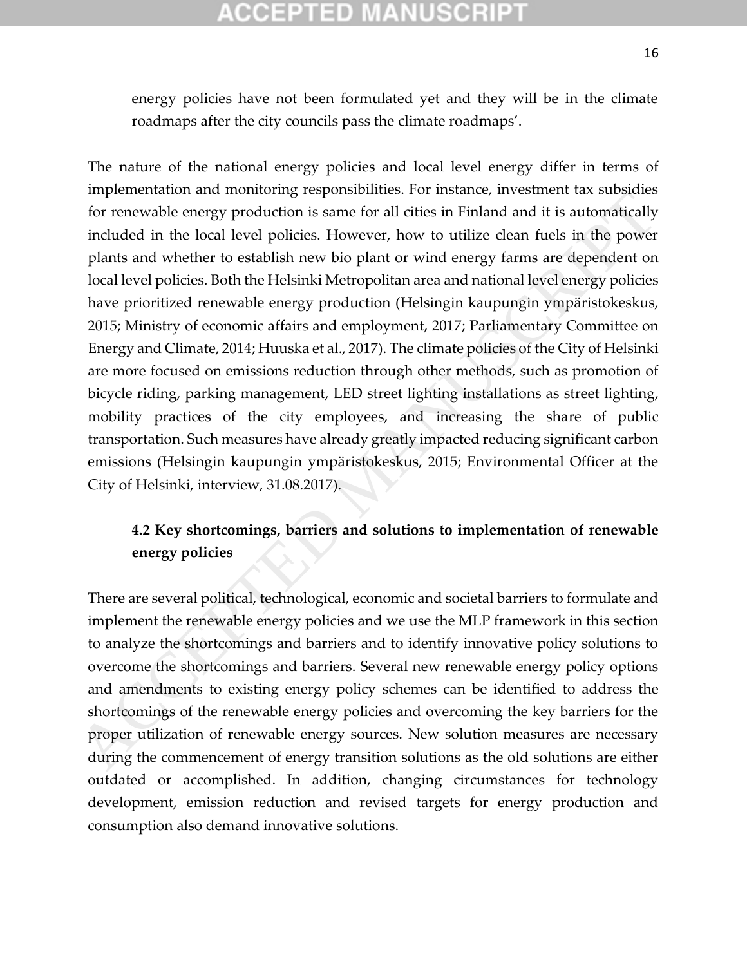# COEPTED

energy policies have not been formulated yet and they will be in the climate roadmaps after the city councils pass the climate roadmaps'.

The nature of the national energy policies and local level energy differ in terms of implementation and monitoring responsibilities. For instance, investment tax subsidies for renewable energy production is same for all cities in Finland and it is automatically included in the local level policies. However, how to utilize clean fuels in the power plants and whether to establish new bio plant or wind energy farms are dependent on local level policies. Both the Helsinki Metropolitan area and national level energy policies have prioritized renewable energy production (Helsingin kaupungin ympäristokeskus, 2015; Ministry of economic affairs and employment, 2017; Parliamentary Committee on Energy and Climate, 2014; Huuska et al., 2017). The climate policies of the City of Helsinki are more focused on emissions reduction through other methods, such as promotion of bicycle riding, parking management, LED street lighting installations as street lighting, mobility practices of the city employees, and increasing the share of public transportation. Such measures have already greatly impacted reducing significant carbon emissions (Helsingin kaupungin ympäristokeskus, 2015; Environmental Officer at the City of Helsinki, interview, 31.08.2017). mentaural and manuroning septomantes. For measure, and many present tax substances to renewable energy production is same for all cities in Finland and it is automatically included in the local level policies. However, ho

## **4.2 Key shortcomings, barriers and solutions to implementation of renewable energy policies**

There are several political, technological, economic and societal barriers to formulate and implement the renewable energy policies and we use the MLP framework in this section to analyze the shortcomings and barriers and to identify innovative policy solutions to overcome the shortcomings and barriers. Several new renewable energy policy options and amendments to existing energy policy schemes can be identified to address the shortcomings of the renewable energy policies and overcoming the key barriers for the proper utilization of renewable energy sources. New solution measures are necessary during the commencement of energy transition solutions as the old solutions are either outdated or accomplished. In addition, changing circumstances for technology development, emission reduction and revised targets for energy production and consumption also demand innovative solutions.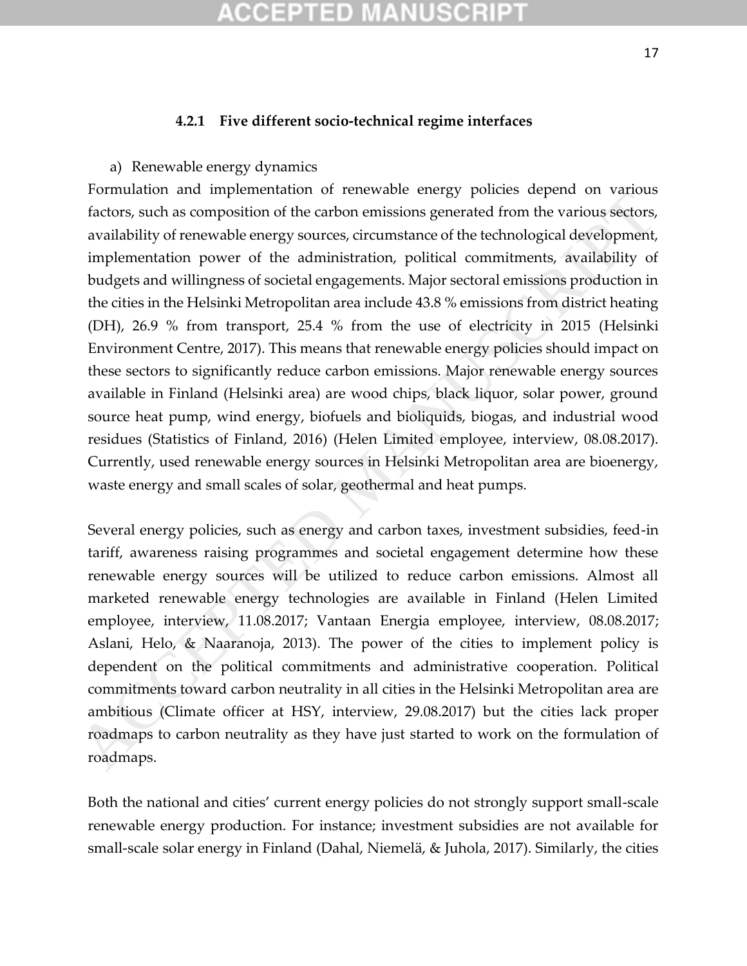## (CEPTED)

#### **4.2.1 Five different socio-technical regime interfaces**

a) Renewable energy dynamics

Formulation and implementation of renewable energy policies depend on various factors, such as composition of the carbon emissions generated from the various sectors, availability of renewable energy sources, circumstance of the technological development, implementation power of the administration, political commitments, availability of budgets and willingness of societal engagements. Major sectoral emissions production in the cities in the Helsinki Metropolitan area include 43.8 % emissions from district heating (DH), 26.9 % from transport, 25.4 % from the use of electricity in 2015 (Helsinki Environment Centre, 2017). This means that renewable energy policies should impact on these sectors to significantly reduce carbon emissions. Major renewable energy sources available in Finland (Helsinki area) are wood chips, black liquor, solar power, ground source heat pump, wind energy, biofuels and bioliquids, biogas, and industrial wood residues (Statistics of Finland, 2016) (Helen Limited employee, interview, 08.08.2017). Currently, used renewable energy sources in Helsinki Metropolitan area are bioenergy, waste energy and small scales of solar, geothermal and heat pumps. Formulation and intepretientation of relievance entergy points of endotions, such as composition of the carbon emissions generaled from the various sectors, availability of renewable energy sources, circumstance of the te

Several energy policies, such as energy and carbon taxes, investment subsidies, feed-in tariff, awareness raising programmes and societal engagement determine how these renewable energy sources will be utilized to reduce carbon emissions. Almost all marketed renewable energy technologies are available in Finland (Helen Limited employee, interview, 11.08.2017; Vantaan Energia employee, interview, 08.08.2017; Aslani, Helo, & Naaranoja, 2013). The power of the cities to implement policy is dependent on the political commitments and administrative cooperation. Political commitments toward carbon neutrality in all cities in the Helsinki Metropolitan area are ambitious (Climate officer at HSY, interview, 29.08.2017) but the cities lack proper roadmaps to carbon neutrality as they have just started to work on the formulation of roadmaps.

Both the national and cities' current energy policies do not strongly support small-scale renewable energy production. For instance; investment subsidies are not available for small-scale solar energy in Finland (Dahal, Niemelä, & Juhola, 2017). Similarly, the cities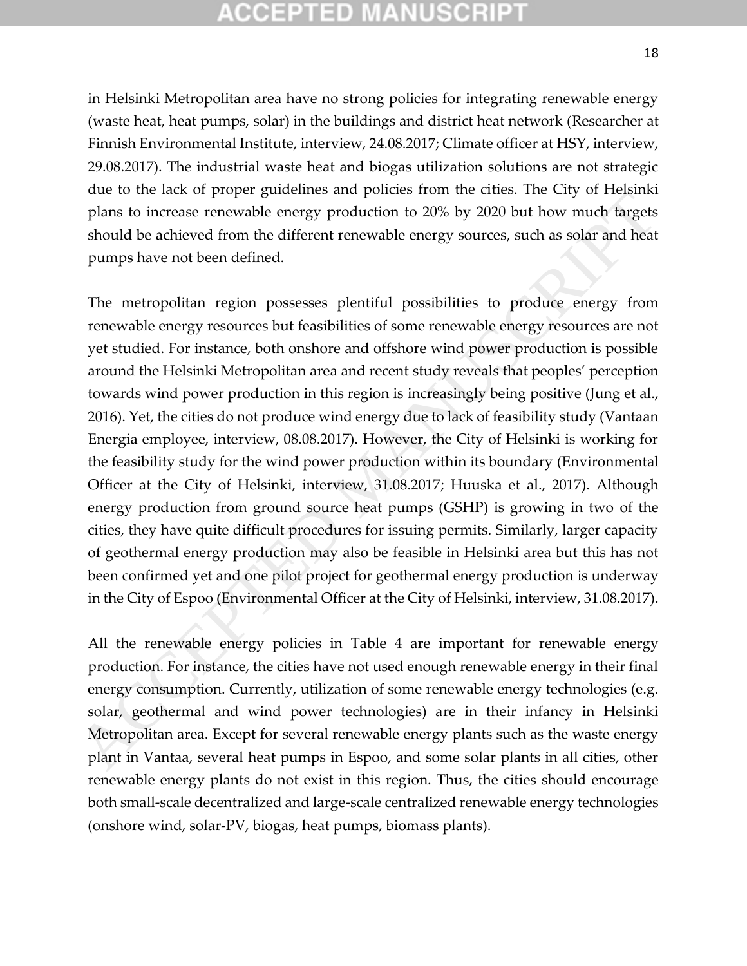# TED

in Helsinki Metropolitan area have no strong policies for integrating renewable energy (waste heat, heat pumps, solar) in the buildings and district heat network (Researcher at Finnish Environmental Institute, interview, 24.08.2017; Climate officer at HSY, interview, 29.08.2017). The industrial waste heat and biogas utilization solutions are not strategic due to the lack of proper guidelines and policies from the cities. The City of Helsinki plans to increase renewable energy production to 20% by 2020 but how much targets should be achieved from the different renewable energy sources, such as solar and heat pumps have not been defined.

The metropolitan region possesses plentiful possibilities to produce energy from renewable energy resources but feasibilities of some renewable energy resources are not yet studied. For instance, both onshore and offshore wind power production is possible around the Helsinki Metropolitan area and recent study reveals that peoples' perception towards wind power production in this region is increasingly being positive (Jung et al., 2016). Yet, the cities do not produce wind energy due to lack of feasibility study (Vantaan Energia employee, interview, 08.08.2017). However, the City of Helsinki is working for the feasibility study for the wind power production within its boundary (Environmental Officer at the City of Helsinki, interview, 31.08.2017; Huuska et al., 2017). Although energy production from ground source heat pumps (GSHP) is growing in two of the cities, they have quite difficult procedures for issuing permits. Similarly, larger capacity of geothermal energy production may also be feasible in Helsinki area but this has not been confirmed yet and one pilot project for geothermal energy production is underway in the City of Espoo (Environmental Officer at the City of Helsinki, interview, 31.08.2017). The mass of proper guatemes and pointers of the same of the case. The cuty of reasons the cuty of the case of the mergy production to 20% by 2020 but how much largets should be achieved from the different renewable energy

All the renewable energy policies in Table 4 are important for renewable energy production. For instance, the cities have not used enough renewable energy in their final energy consumption. Currently, utilization of some renewable energy technologies (e.g. solar, geothermal and wind power technologies) are in their infancy in Helsinki Metropolitan area. Except for several renewable energy plants such as the waste energy plant in Vantaa, several heat pumps in Espoo, and some solar plants in all cities, other renewable energy plants do not exist in this region. Thus, the cities should encourage both small-scale decentralized and large-scale centralized renewable energy technologies (onshore wind, solar-PV, biogas, heat pumps, biomass plants).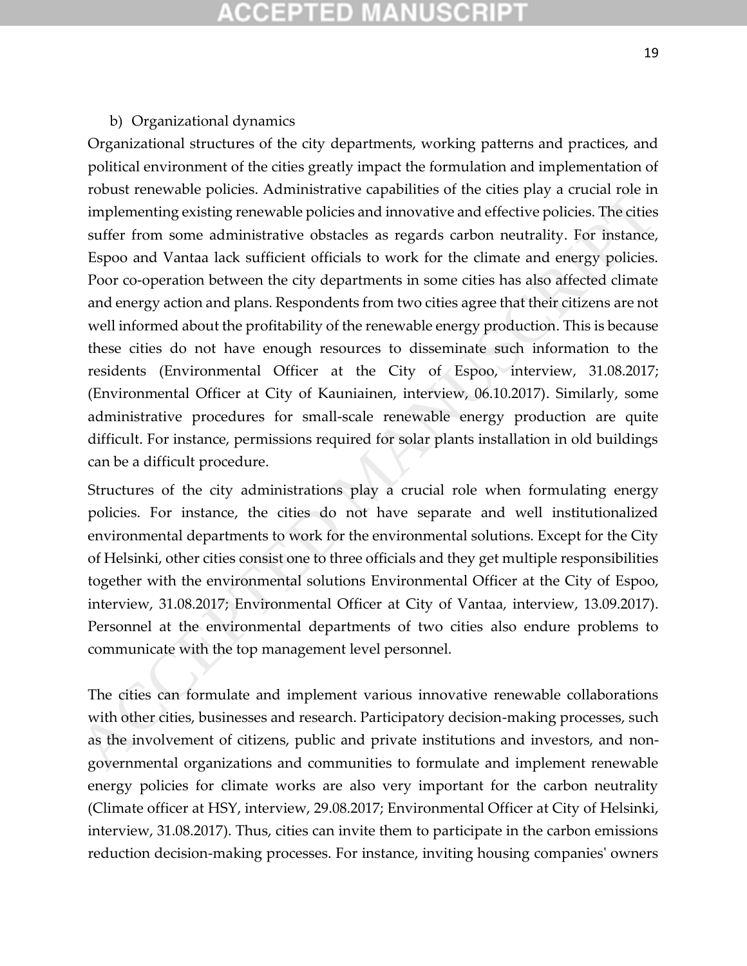## COEPTED

#### b) Organizational dynamics

Organizational structures of the city departments, working patterns and practices, and political environment of the cities greatly impact the formulation and implementation of robust renewable policies. Administrative capabilities of the cities play a crucial role in implementing existing renewable policies and innovative and effective policies. The cities suffer from some administrative obstacles as regards carbon neutrality. For instance, Espoo and Vantaa lack sufficient officials to work for the climate and energy policies. Poor co-operation between the city departments in some cities has also affected climate and energy action and plans. Respondents from two cities agree that their citizens are not well informed about the profitability of the renewable energy production. This is because these cities do not have enough resources to disseminate such information to the residents (Environmental Officer at the City of Espoo, interview, 31.08.2017; (Environmental Officer at City of Kauniainen, interview, 06.10.2017). Similarly, some administrative procedures for small-scale renewable energy production are quite difficult. For instance, permissions required for solar plants installation in old buildings can be a difficult procedure. From some expenses. Annimation to report to the tuse separa a true of the separation of the distriction and mentric policies. The different from some administrative obstacles as regards carbon neutrality. For instance, Es

Structures of the city administrations play a crucial role when formulating energy policies. For instance, the cities do not have separate and well institutionalized environmental departments to work for the environmental solutions. Except for the City of Helsinki, other cities consist one to three officials and they get multiple responsibilities together with the environmental solutions Environmental Officer at the City of Espoo, interview, 31.08.2017; Environmental Officer at City of Vantaa, interview, 13.09.2017). Personnel at the environmental departments of two cities also endure problems to communicate with the top management level personnel.

The cities can formulate and implement various innovative renewable collaborations with other cities, businesses and research. Participatory decision-making processes, such as the involvement of citizens, public and private institutions and investors, and nongovernmental organizations and communities to formulate and implement renewable energy policies for climate works are also very important for the carbon neutrality (Climate officer at HSY, interview, 29.08.2017; Environmental Officer at City of Helsinki, interview, 31.08.2017). Thus, cities can invite them to participate in the carbon emissions reduction decision-making processes. For instance, inviting housing companies' owners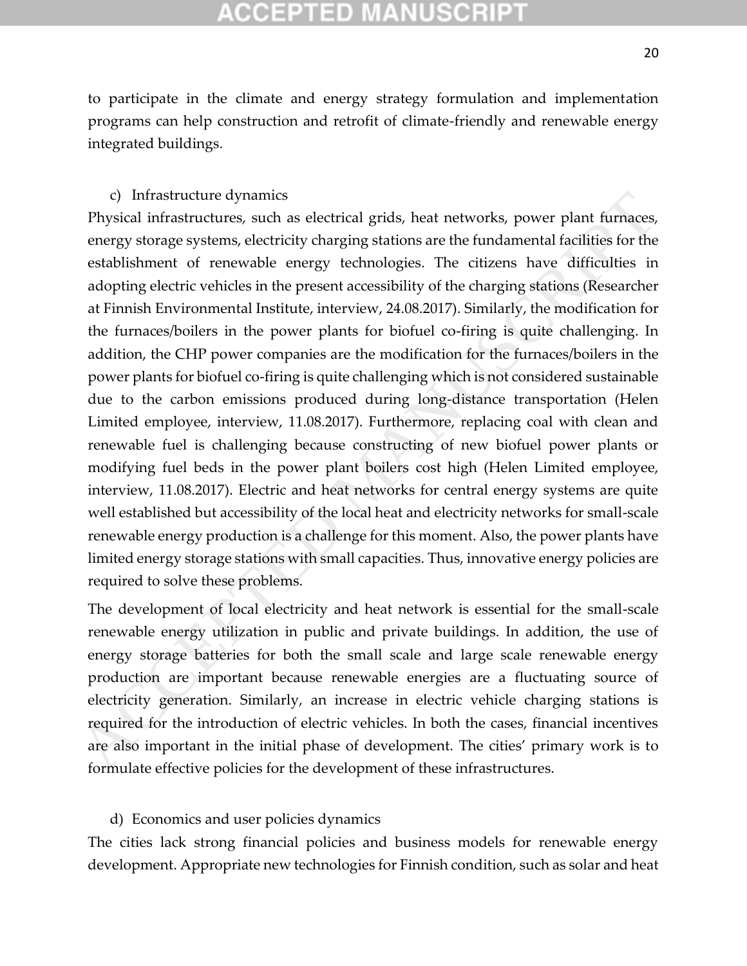# PTED

to participate in the climate and energy strategy formulation and implementation programs can help construction and retrofit of climate-friendly and renewable energy integrated buildings.

#### c) Infrastructure dynamics

Physical infrastructures, such as electrical grids, heat networks, power plant furnaces, energy storage systems, electricity charging stations are the fundamental facilities for the establishment of renewable energy technologies. The citizens have difficulties in adopting electric vehicles in the present accessibility of the charging stations (Researcher at Finnish Environmental Institute, interview, 24.08.2017). Similarly, the modification for the furnaces/boilers in the power plants for biofuel co-firing is quite challenging. In addition, the CHP power companies are the modification for the furnaces/boilers in the power plants for biofuel co-firing is quite challenging which is not considered sustainable due to the carbon emissions produced during long-distance transportation (Helen Limited employee, interview, 11.08.2017). Furthermore, replacing coal with clean and renewable fuel is challenging because constructing of new biofuel power plants or modifying fuel beds in the power plant boilers cost high (Helen Limited employee, interview, 11.08.2017). Electric and heat networks for central energy systems are quite well established but accessibility of the local heat and electricity networks for small-scale renewable energy production is a challenge for this moment. Also, the power plants have limited energy storage stations with small capacities. Thus, innovative energy policies are required to solve these problems. c) Infrastructure dynamics<br>
Figureial infrastructure, such as electrical grids, heat networks, power plant furneces,<br>
Peneygi slonge systems, electricity charging stations are the fundamental facilities for the<br>
establish

The development of local electricity and heat network is essential for the small-scale renewable energy utilization in public and private buildings. In addition, the use of energy storage batteries for both the small scale and large scale renewable energy production are important because renewable energies are a fluctuating source of electricity generation. Similarly, an increase in electric vehicle charging stations is required for the introduction of electric vehicles. In both the cases, financial incentives are also important in the initial phase of development. The cities' primary work is to formulate effective policies for the development of these infrastructures.

#### d) Economics and user policies dynamics

The cities lack strong financial policies and business models for renewable energy development. Appropriate new technologies for Finnish condition, such as solar and heat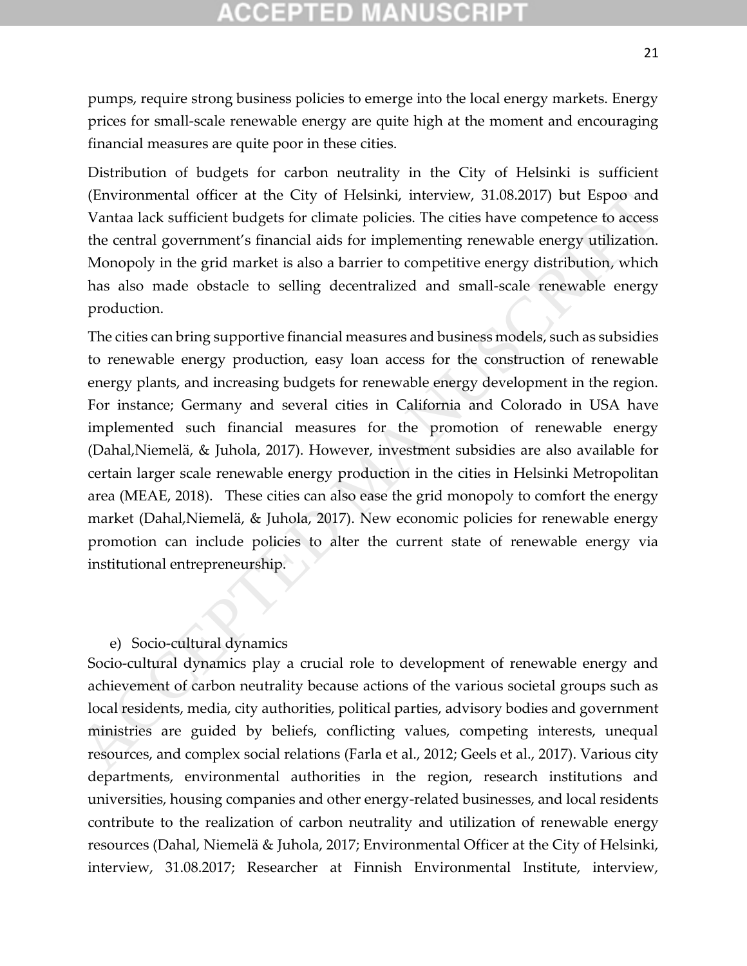# CGEPTED M

pumps, require strong business policies to emerge into the local energy markets. Energy prices for small-scale renewable energy are quite high at the moment and encouraging financial measures are quite poor in these cities.

Distribution of budgets for carbon neutrality in the City of Helsinki is sufficient (Environmental officer at the City of Helsinki, interview, 31.08.2017) but Espoo and Vantaa lack sufficient budgets for climate policies. The cities have competence to access the central government's financial aids for implementing renewable energy utilization. Monopoly in the grid market is also a barrier to competitive energy distribution, which has also made obstacle to selling decentralized and small-scale renewable energy production.

The cities can bring supportive financial measures and business models, such as subsidies to renewable energy production, easy loan access for the construction of renewable energy plants, and increasing budgets for renewable energy development in the region. For instance; Germany and several cities in California and Colorado in USA have implemented such financial measures for the promotion of renewable energy (Dahal,Niemelä, & Juhola, 2017). However, investment subsidies are also available for certain larger scale renewable energy production in the cities in Helsinki Metropolitan area (MEAE, 2018). These cities can also ease the grid monopoly to comfort the energy market (Dahal,Niemelä, & Juhola, 2017). New economic policies for renewable energy promotion can include policies to alter the current state of renewable energy via institutional entrepreneurship. (Environmental officer at the City of Helsinki, interview, 31.08.2017) but Espoo and<br>Vanta lack sufficient budgets for chimate policies. The cities have competence to access<br>the central government's financial aids for impl

#### e) Socio-cultural dynamics

Socio-cultural dynamics play a crucial role to development of renewable energy and achievement of carbon neutrality because actions of the various societal groups such as local residents, media, city authorities, political parties, advisory bodies and government ministries are guided by beliefs, conflicting values, competing interests, unequal resources, and complex social relations (Farla et al., 2012; Geels et al., 2017). Various city departments, environmental authorities in the region, research institutions and universities, housing companies and other energy-related businesses, and local residents contribute to the realization of carbon neutrality and utilization of renewable energy resources (Dahal, Niemelä & Juhola, 2017; Environmental Officer at the City of Helsinki, interview, 31.08.2017; Researcher at Finnish Environmental Institute, interview,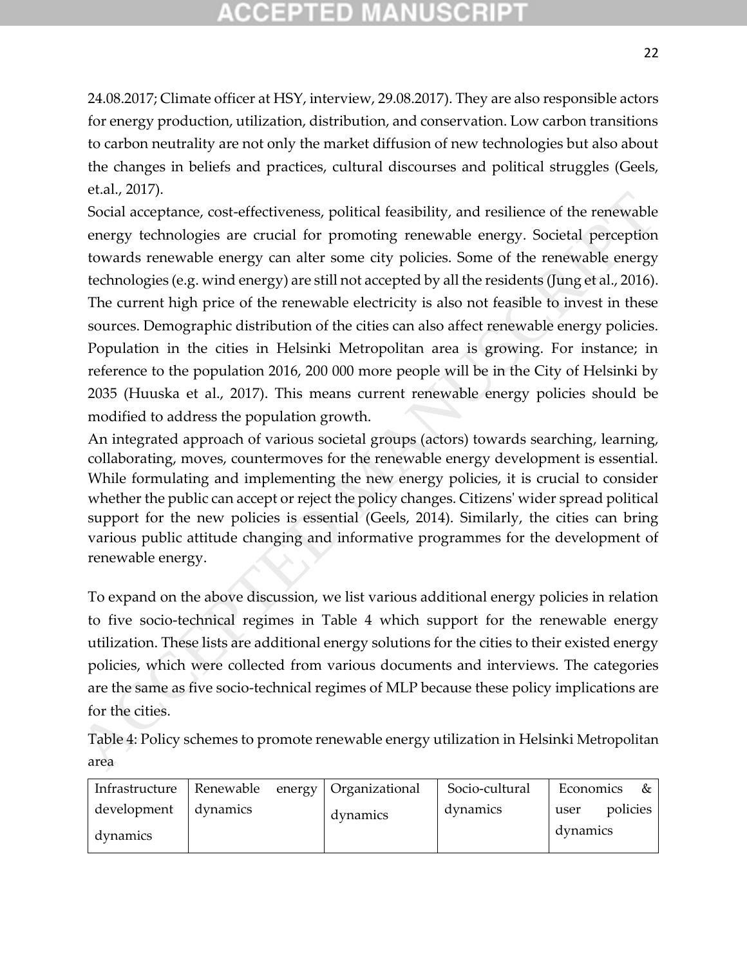# **CCEPTED MANUSCR**

24.08.2017; Climate officer at HSY, interview, 29.08.2017). They are also responsible actors for energy production, utilization, distribution, and conservation. Low carbon transitions to carbon neutrality are not only the market diffusion of new technologies but also about the changes in beliefs and practices, cultural discourses and political struggles (Geels, et.al., 2017).

Social acceptance, cost-effectiveness, political feasibility, and resilience of the renewable energy technologies are crucial for promoting renewable energy. Societal perception towards renewable energy can alter some city policies. Some of the renewable energy technologies (e.g. wind energy) are still not accepted by all the residents (Jung et al., 2016). The current high price of the renewable electricity is also not feasible to invest in these sources. Demographic distribution of the cities can also affect renewable energy policies. Population in the cities in Helsinki Metropolitan area is growing. For instance; in reference to the population 2016, 200 000 more people will be in the City of Helsinki by 2035 (Huuska et al., 2017). This means current renewable energy policies should be modified to address the population growth. etail, 2007).<br>Social acceptance, cost-effectiveness, political feasibility, and resilience of the renewable<br>energy technologies are crucial for promoting renewable energy. Societal perception<br>towards renewable energy an a

An integrated approach of various societal groups (actors) towards searching, learning, collaborating, moves, countermoves for the renewable energy development is essential. While formulating and implementing the new energy policies, it is crucial to consider whether the public can accept or reject the policy changes. Citizens' wider spread political support for the new policies is essential (Geels, 2014). Similarly, the cities can bring various public attitude changing and informative programmes for the development of renewable energy.

To expand on the above discussion, we list various additional energy policies in relation to five socio-technical regimes in Table 4 which support for the renewable energy utilization. These lists are additional energy solutions for the cities to their existed energy policies, which were collected from various documents and interviews. The categories are the same as five socio-technical regimes of MLP because these policy implications are for the cities.

Table 4: Policy schemes to promote renewable energy utilization in Helsinki Metropolitan area

| Infrastructure          | Renewable energy   Organizational |          | Socio-cultural | Economics        | &        |
|-------------------------|-----------------------------------|----------|----------------|------------------|----------|
| development<br>dynamics | dynamics                          | dynamics | dynamics       | user<br>dynamics | policies |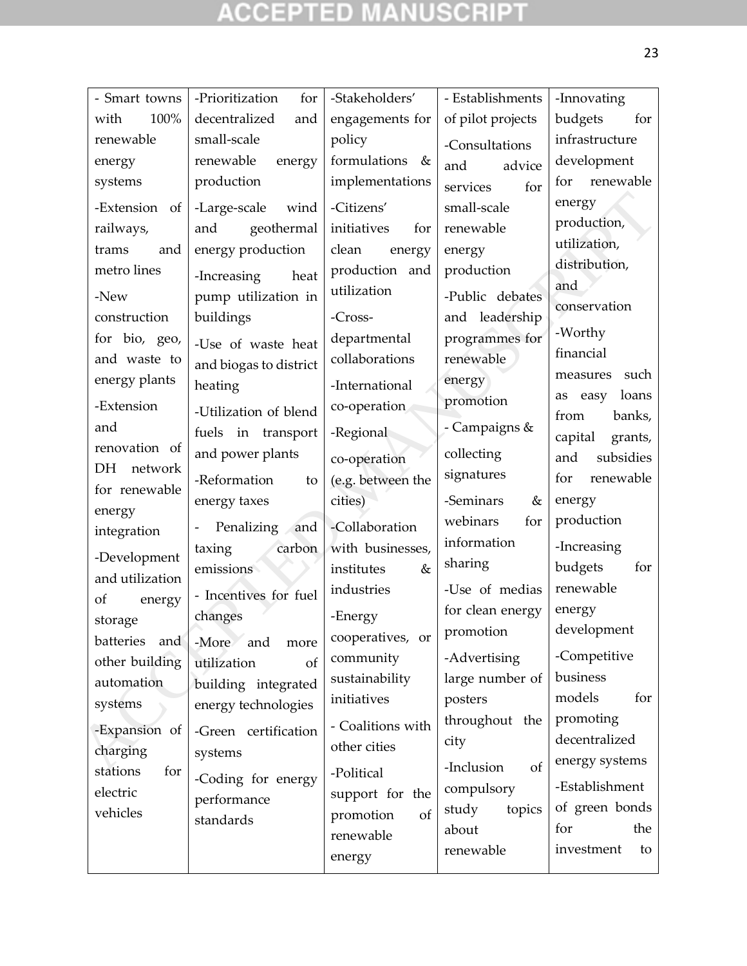# **ACCEPTED MANUSCRIPT**

| - Smart towns        | -Prioritization<br>for | -Stakeholders'     | - Establishments                 | -Innovating                |
|----------------------|------------------------|--------------------|----------------------------------|----------------------------|
| 100%<br>with         | decentralized<br>and   | engagements for    | of pilot projects                | budgets<br>for             |
| renewable            | small-scale            | policy             | -Consultations                   | infrastructure             |
| energy               | renewable<br>energy    | formulations &     | and<br>advice                    | development                |
| systems              | production             | implementations    | services<br>for                  | renewable<br>for           |
| -Extension of        | -Large-scale<br>wind   | -Citizens'         | small-scale                      | energy                     |
| railways,            | geothermal<br>and      | initiatives<br>for | renewable                        | production,                |
| trams<br>and         | energy production      | clean<br>energy    | energy                           | utilization,               |
| metro lines          | -Increasing<br>heat    | production and     | production                       | distribution,              |
| -New                 | pump utilization in    | utilization        | -Public debates                  | and                        |
| construction         | buildings              | -Cross-            |                                  | conservation               |
| for bio, geo,        |                        | departmental       | and leadership<br>programmes for | -Worthy                    |
| and waste to         | -Use of waste heat     | collaborations     | renewable                        | financial                  |
| energy plants        | and biogas to district |                    |                                  | such<br>measures           |
|                      | heating                | -International     | energy<br>promotion              | loans<br>easy<br>as        |
| -Extension           | -Utilization of blend  | co-operation       |                                  | from<br>banks,             |
| and                  | fuels in transport     | -Regional          | - Campaigns &                    | capital<br>grants,         |
| renovation of        | and power plants       | co-operation       | collecting                       | subsidies<br>and           |
| <b>DH</b><br>network | -Reformation<br>to     | (e.g. between the  | signatures                       | renewable<br>for           |
| for renewable        | energy taxes           | cities)            | -Seminars<br>&                   | energy                     |
| energy               | Penalizing<br>and      | -Collaboration     | webinars<br>for                  | production                 |
| integration          | carbon<br>taxing       | with businesses,   | information                      | -Increasing                |
| -Development         | emissions              | institutes<br>&    | sharing                          | budgets<br>for             |
| and utilization      |                        | industries         | -Use of medias                   | renewable                  |
| of<br>energy         | - Incentives for fuel  |                    | for clean energy                 | energy                     |
| storage              | changes                | -Energy            | promotion                        | development                |
| batteries<br>and     | -More<br>and<br>more   | cooperatives, or   |                                  | -Competitive               |
| other building       | utilization<br>of      | community          | -Advertising                     | business                   |
| automation           | building integrated    | sustainability     | large number of                  | models<br>for              |
| systems              | energy technologies    | initiatives        | posters                          |                            |
| -Expansion of        | -Green certification   | - Coalitions with  | throughout the                   | promoting<br>decentralized |
| charging             | systems                | other cities       | city                             | energy systems             |
| stations<br>for      | -Coding for energy     | -Political         | -Inclusion<br><sub>of</sub>      |                            |
| electric             | performance            | support for the    | compulsory                       | -Establishment             |
| vehicles             | standards              | promotion<br>of    | study<br>topics                  | of green bonds             |
|                      |                        | renewable          | about                            | the<br>for                 |
|                      |                        | energy             | renewable                        | investment<br>to           |
|                      |                        |                    |                                  |                            |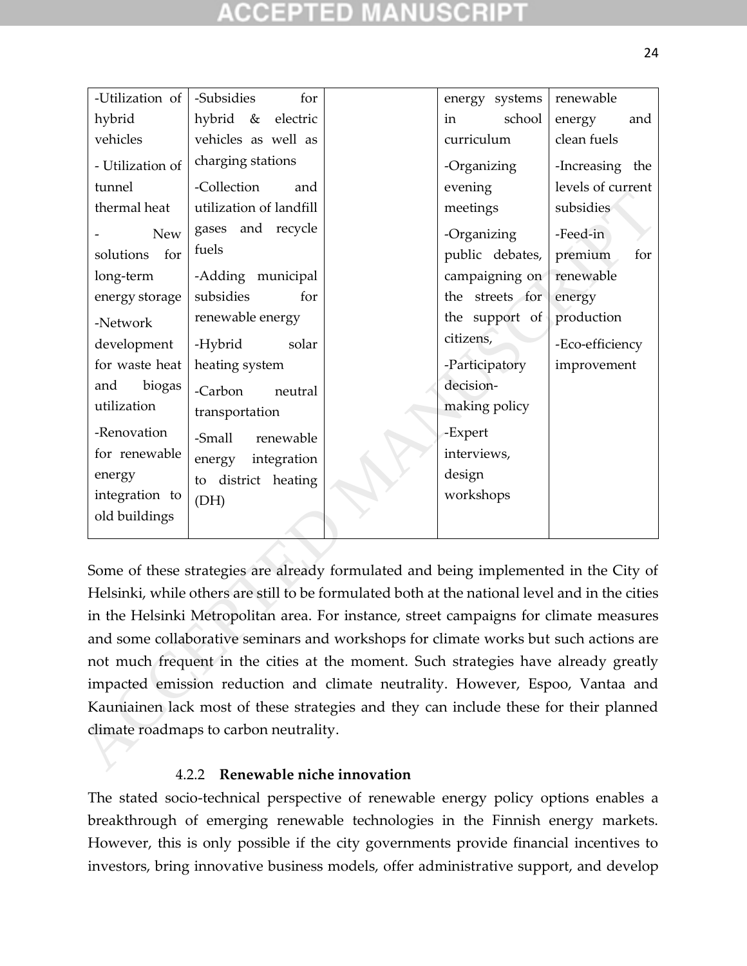| -Utilization of                                                                        | -Subsidies<br>for                                                                              |  | energy systems  | renewable         |  |
|----------------------------------------------------------------------------------------|------------------------------------------------------------------------------------------------|--|-----------------|-------------------|--|
| hybrid                                                                                 | hybrid &<br>electric                                                                           |  | school<br>in    | energy<br>and     |  |
| vehicles                                                                               | vehicles as well as                                                                            |  | curriculum      | clean fuels       |  |
| - Utilization of                                                                       | charging stations                                                                              |  | -Organizing     | -Increasing the   |  |
| tunnel                                                                                 | -Collection<br>and                                                                             |  | evening         | levels of current |  |
| thermal heat                                                                           | utilization of landfill                                                                        |  | meetings        | subsidies         |  |
| <b>New</b>                                                                             | gases and recycle                                                                              |  | -Organizing     | -Feed-in          |  |
| for<br>solutions                                                                       | fuels                                                                                          |  | public debates, | premium<br>for    |  |
| long-term                                                                              | -Adding municipal                                                                              |  | campaigning on  | renewable         |  |
| energy storage                                                                         | subsidies<br>for                                                                               |  | the streets for | energy            |  |
| -Network                                                                               | renewable energy                                                                               |  | the support of  | production        |  |
| development                                                                            | -Hybrid<br>solar                                                                               |  | citizens,       | -Eco-efficiency   |  |
| for waste heat                                                                         | heating system                                                                                 |  | -Participatory  | improvement       |  |
| biogas<br>and                                                                          | -Carbon<br>neutral                                                                             |  | decision-       |                   |  |
| utilization                                                                            | transportation                                                                                 |  | making policy   |                   |  |
| -Renovation                                                                            | -Small<br>renewable                                                                            |  | -Expert         |                   |  |
| for renewable                                                                          | integration<br>energy                                                                          |  | interviews,     |                   |  |
| energy                                                                                 | to district heating                                                                            |  | design          |                   |  |
| integration to                                                                         | (DH)                                                                                           |  | workshops       |                   |  |
| old buildings                                                                          |                                                                                                |  |                 |                   |  |
|                                                                                        |                                                                                                |  |                 |                   |  |
|                                                                                        |                                                                                                |  |                 |                   |  |
|                                                                                        | Some of these strategies are already formulated and being implemented in the City of           |  |                 |                   |  |
|                                                                                        | Helsinki, while others are still to be formulated both at the national level and in the cities |  |                 |                   |  |
| in the Helsinki Metropolitan area. For instance, street campaigns for climate measures |                                                                                                |  |                 |                   |  |
| and some collaborative seminars and workshops for climate works but such actions are   |                                                                                                |  |                 |                   |  |
| not much frequent in the cities at the moment. Such strategies have already greatly    |                                                                                                |  |                 |                   |  |
| impacted emission reduction and climate neutrality. However, Espoo, Vantaa and         |                                                                                                |  |                 |                   |  |
| Kauniainen lack most of these strategies and they can include these for their planned  |                                                                                                |  |                 |                   |  |
|                                                                                        | climate roadmaps to carbon neutrality.                                                         |  |                 |                   |  |
|                                                                                        |                                                                                                |  |                 |                   |  |
|                                                                                        |                                                                                                |  |                 |                   |  |

### 4.2.2 **Renewable niche innovation**

The stated socio-technical perspective of renewable energy policy options enables a breakthrough of emerging renewable technologies in the Finnish energy markets. However, this is only possible if the city governments provide financial incentives to investors, bring innovative business models, offer administrative support, and develop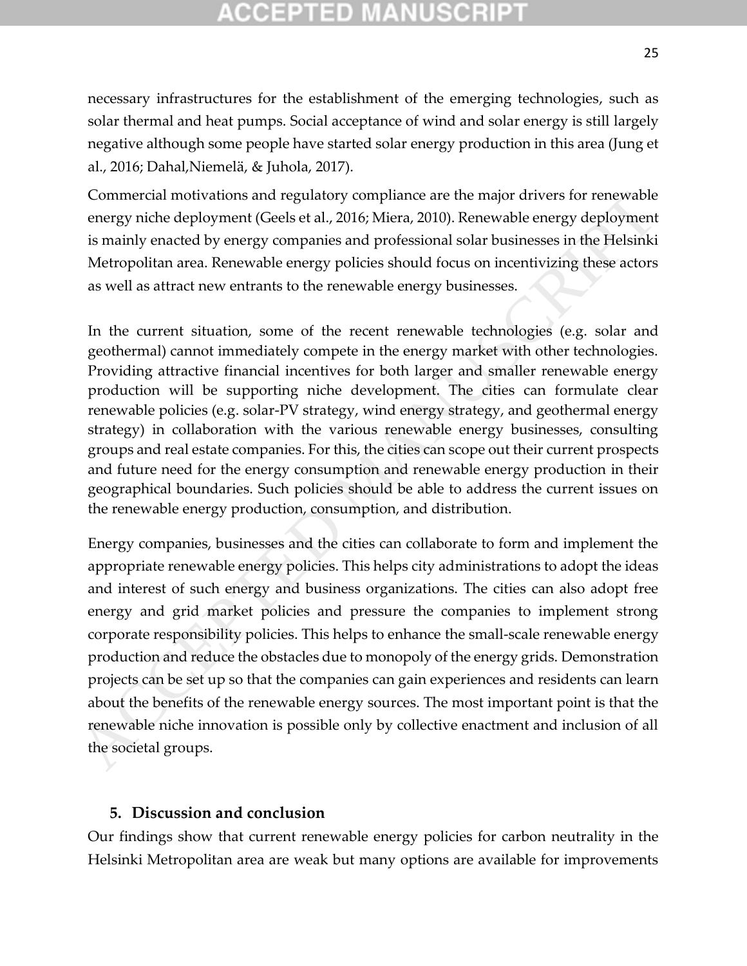# **CCEPTED MANUSCR**

necessary infrastructures for the establishment of the emerging technologies, such as solar thermal and heat pumps. Social acceptance of wind and solar energy is still largely negative although some people have started solar energy production in this area (Jung et al., 2016; Dahal,Niemelä, & Juhola, 2017).

Commercial motivations and regulatory compliance are the major drivers for renewable energy niche deployment (Geels et al., 2016; Miera, 2010). Renewable energy deployment is mainly enacted by energy companies and professional solar businesses in the Helsinki Metropolitan area. Renewable energy policies should focus on incentivizing these actors as well as attract new entrants to the renewable energy businesses.

In the current situation, some of the recent renewable technologies (e.g. solar and geothermal) cannot immediately compete in the energy market with other technologies. Providing attractive financial incentives for both larger and smaller renewable energy production will be supporting niche development. The cities can formulate clear renewable policies (e.g. solar-PV strategy, wind energy strategy, and geothermal energy strategy) in collaboration with the various renewable energy businesses, consulting groups and real estate companies. For this, the cities can scope out their current prospects and future need for the energy consumption and renewable energy production in their geographical boundaries. Such policies should be able to address the current issues on the renewable energy production, consumption, and distribution.

Energy companies, businesses and the cities can collaborate to form and implement the appropriate renewable energy policies. This helps city administrations to adopt the ideas and interest of such energy and business organizations. The cities can also adopt free energy and grid market policies and pressure the companies to implement strong corporate responsibility policies. This helps to enhance the small-scale renewable energy production and reduce the obstacles due to monopoly of the energy grids. Demonstration projects can be set up so that the companies can gain experiences and residents can learn about the benefits of the renewable energy sources. The most important point is that the renewable niche innovation is possible only by collective enactment and inclusion of all the societal groups. Commercial motivations and regulatory compliance are the major drivers for renewable<br>energy inched peloyment (Ceels et al., 2016; Mirra, 2010). Renewable energy deployment<br>is mainly enacted by energy companies and professi

### **5. Discussion and conclusion**

Our findings show that current renewable energy policies for carbon neutrality in the Helsinki Metropolitan area are weak but many options are available for improvements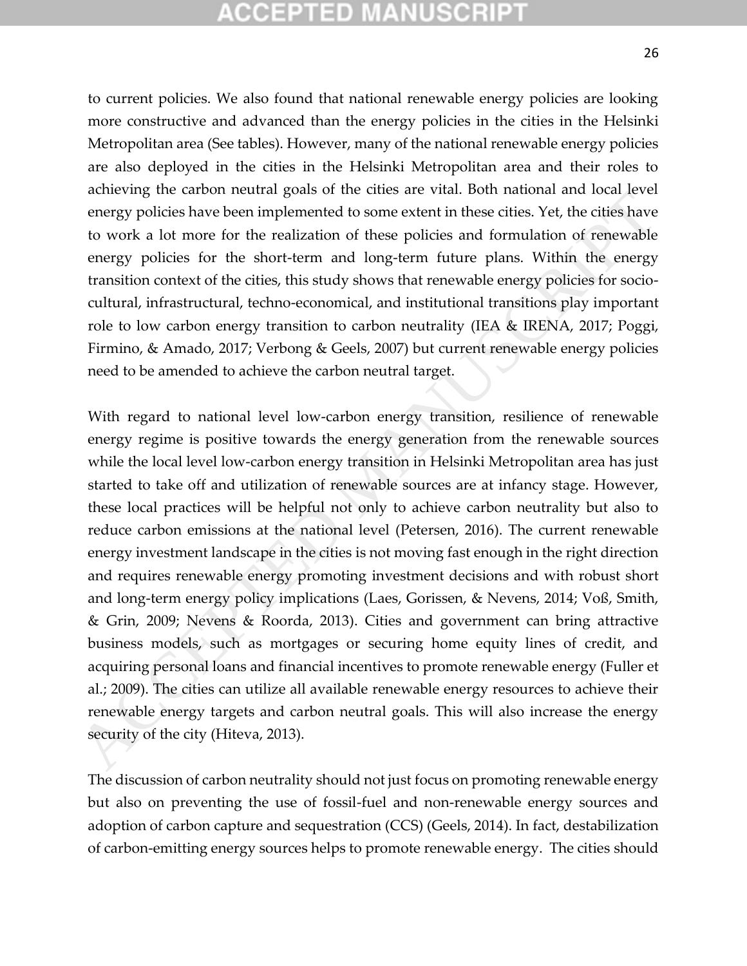# (CELLER)

to current policies. We also found that national renewable energy policies are looking more constructive and advanced than the energy policies in the cities in the Helsinki Metropolitan area (See tables). However, many of the national renewable energy policies are also deployed in the cities in the Helsinki Metropolitan area and their roles to achieving the carbon neutral goals of the cities are vital. Both national and local level energy policies have been implemented to some extent in these cities. Yet, the cities have to work a lot more for the realization of these policies and formulation of renewable energy policies for the short-term and long-term future plans. Within the energy transition context of the cities, this study shows that renewable energy policies for sociocultural, infrastructural, techno-economical, and institutional transitions play important role to low carbon energy transition to carbon neutrality (IEA & IRENA, 2017; Poggi, Firmino, & Amado, 2017; Verbong & Geels, 2007) but current renewable energy policies need to be amended to achieve the carbon neutral target.

With regard to national level low-carbon energy transition, resilience of renewable energy regime is positive towards the energy generation from the renewable sources while the local level low-carbon energy transition in Helsinki Metropolitan area has just started to take off and utilization of renewable sources are at infancy stage. However, these local practices will be helpful not only to achieve carbon neutrality but also to reduce carbon emissions at the national level (Petersen, 2016). The current renewable energy investment landscape in the cities is not moving fast enough in the right direction and requires renewable energy promoting investment decisions and with robust short and long-term energy policy implications (Laes, Gorissen, & Nevens, 2014; Voß, Smith, & Grin, 2009; Nevens & Roorda, 2013). Cities and government can bring attractive business models, such as mortgages or securing home equity lines of credit, and acquiring personal loans and financial incentives to promote renewable energy (Fuller et al.; 2009). The cities can utilize all available renewable energy resources to achieve their renewable energy targets and carbon neutral goals. This will also increase the energy security of the city (Hiteva, 2013). examently use anotheristic appear and the times when involving and to can be a set a set also comept prolices have been implemented to some extent in these cities. Yet, the cities have to work a lot more for the fealizatio

The discussion of carbon neutrality should not just focus on promoting renewable energy but also on preventing the use of fossil-fuel and non-renewable energy sources and adoption of carbon capture and sequestration (CCS) (Geels, 2014). In fact, destabilization of carbon-emitting energy sources helps to promote renewable energy. The cities should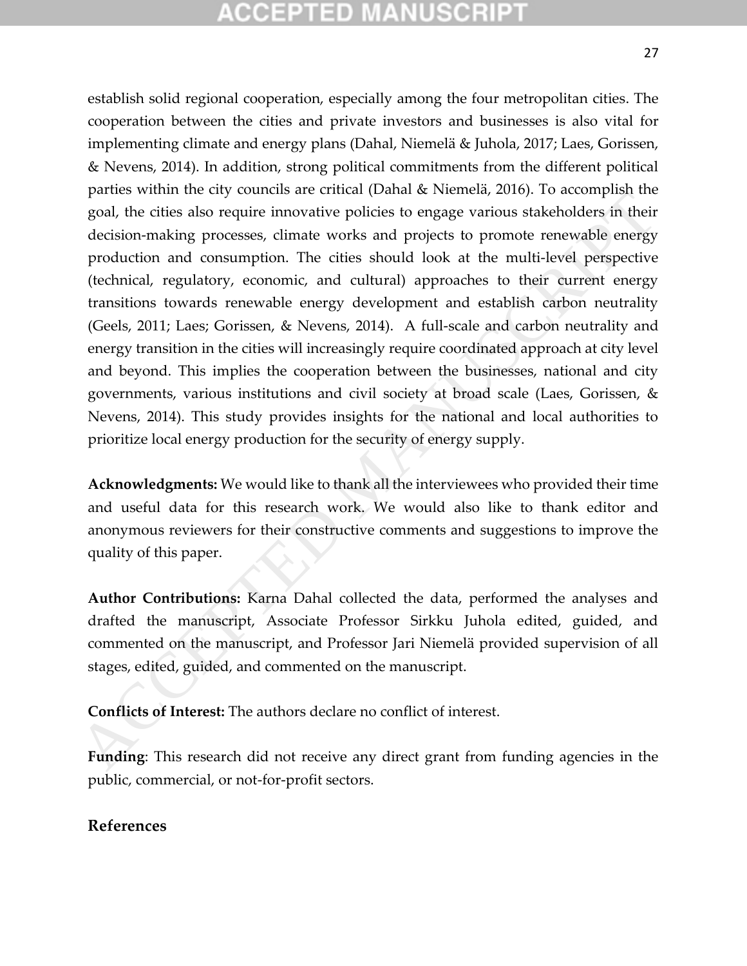# CCEPTED MANUSCRI

establish solid regional cooperation, especially among the four metropolitan cities. The cooperation between the cities and private investors and businesses is also vital for implementing climate and energy plans (Dahal, Niemelä & Juhola, 2017; Laes, Gorissen, & Nevens, 2014). In addition, strong political commitments from the different political parties within the city councils are critical (Dahal & Niemelä, 2016). To accomplish the goal, the cities also require innovative policies to engage various stakeholders in their decision-making processes, climate works and projects to promote renewable energy production and consumption. The cities should look at the multi-level perspective (technical, regulatory, economic, and cultural) approaches to their current energy transitions towards renewable energy development and establish carbon neutrality (Geels, 2011; Laes; Gorissen, & Nevens, 2014). A full-scale and carbon neutrality and energy transition in the cities will increasingly require coordinated approach at city level and beyond. This implies the cooperation between the businesses, national and city governments, various institutions and civil society at broad scale (Laes, Gorissen, & Nevens, 2014). This study provides insights for the national and local authorities to prioritize local energy production for the security of energy supply. parties with the cuy councass are cunted (*Loana* & retenter, 2000, 10 accouples in the<br>goal, the difeis also require innovative policies to engage various stakeholders in their<br>decision-making processes, climate works and

**Acknowledgments:** We would like to thank all the interviewees who provided their time and useful data for this research work. We would also like to thank editor and anonymous reviewers for their constructive comments and suggestions to improve the quality of this paper.

**Author Contributions:** Karna Dahal collected the data, performed the analyses and drafted the manuscript, Associate Professor Sirkku Juhola edited, guided, and commented on the manuscript, and Professor Jari Niemelä provided supervision of all stages, edited, guided, and commented on the manuscript.

**Conflicts of Interest:** The authors declare no conflict of interest.

**Funding**: This research did not receive any direct grant from funding agencies in the public, commercial, or not-for-profit sectors.

#### **References**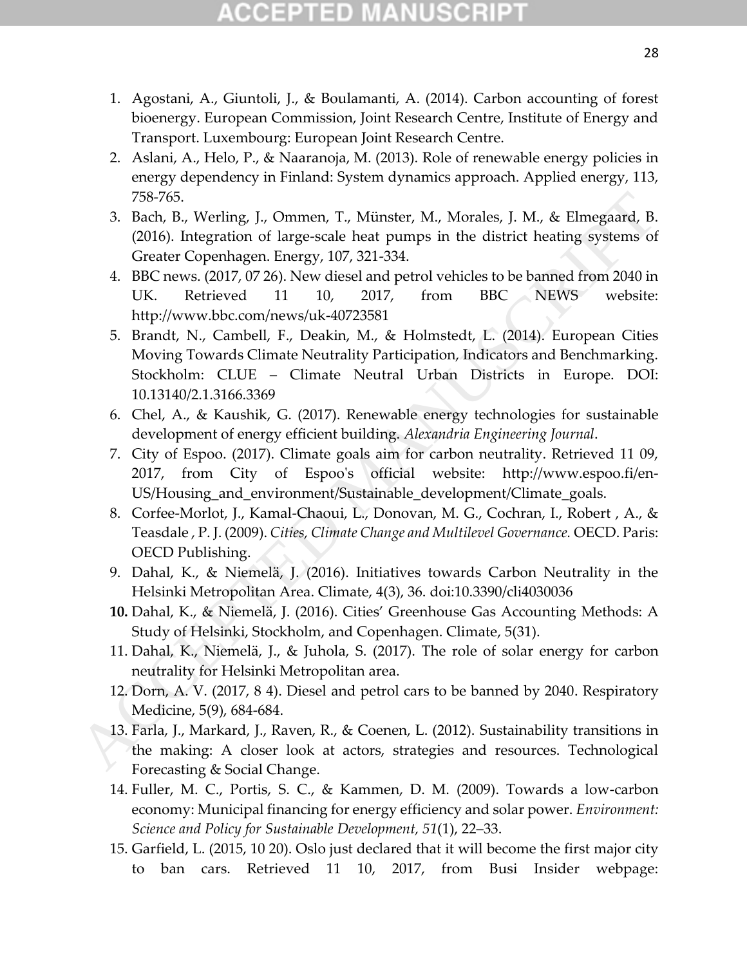- 1. Agostani, A., Giuntoli, J., & Boulamanti, A. (2014). Carbon accounting of forest bioenergy. European Commission, Joint Research Centre, Institute of Energy and Transport. Luxembourg: European Joint Research Centre.
- 2. Aslani, A., Helo, P., & Naaranoja, M. (2013). Role of renewable energy policies in energy dependency in Finland: System dynamics approach. Applied energy, 113, 758-765.
- 3. Bach, B., Werling, J., Ommen, T., Münster, M., Morales, J. M., & Elmegaard, B. (2016). Integration of large-scale heat pumps in the district heating systems of Greater Copenhagen. Energy, 107, 321-334.
- 4. BBC news. (2017, 07 26). New diesel and petrol vehicles to be banned from 2040 in UK. Retrieved 11 10, 2017, from BBC NEWS website: http://www.bbc.com/news/uk-40723581
- 5. Brandt, N., Cambell, F., Deakin, M., & Holmstedt, L. (2014). European Cities Moving Towards Climate Neutrality Participation, Indicators and Benchmarking. Stockholm: CLUE – Climate Neutral Urban Districts in Europe. DOI: 10.13140/2.1.3166.3369 758-765.<br>
3. Bach, B, Werling, J., Ommen, T., Münster, M., Morales, J. M., & Elmegrard, B.<br>
(2016). Integration of large-scale heat pumps in the district heating systems of<br>
Croter Copenhagon. Floregy, 107, 321-334.<br>
4. B
	- 6. Chel, A., & Kaushik, G. (2017). Renewable energy technologies for sustainable development of energy efficient building. *Alexandria Engineering Journal*.
	- 7. City of Espoo. (2017). Climate goals aim for carbon neutrality. Retrieved 11 09, 2017, from City of Espoo's official website: http://www.espoo.fi/en-US/Housing\_and\_environment/Sustainable\_development/Climate\_goals.
	- 8. Corfee-Morlot, J., Kamal-Chaoui, L., Donovan, M. G., Cochran, I., Robert , A., & Teasdale , P. J. (2009). *Cities, Climate Change and Multilevel Governance.* OECD. Paris: OECD Publishing.
	- 9. Dahal, K., & Niemelä, J. (2016). Initiatives towards Carbon Neutrality in the Helsinki Metropolitan Area. Climate, 4(3), 36. doi:10.3390/cli4030036
	- **10.** Dahal, K., & Niemelä, J. (2016). Cities' Greenhouse Gas Accounting Methods: A Study of Helsinki, Stockholm, and Copenhagen. Climate, 5(31).
	- 11. Dahal, K., Niemelä, J., & Juhola, S. (2017). The role of solar energy for carbon neutrality for Helsinki Metropolitan area.
	- 12. Dorn, A. V. (2017, 8 4). Diesel and petrol cars to be banned by 2040. Respiratory Medicine, 5(9), 684-684.
	- 13. Farla, J., Markard, J., Raven, R., & Coenen, L. (2012). Sustainability transitions in the making: A closer look at actors, strategies and resources. Technological Forecasting & Social Change.
	- 14. Fuller, M. C., Portis, S. C., & Kammen, D. M. (2009). Towards a low-carbon economy: Municipal financing for energy efficiency and solar power. *Environment: Science and Policy for Sustainable Development, 51*(1), 22–33.
	- 15. Garfield, L. (2015, 10 20). Oslo just declared that it will become the first major city to ban cars. Retrieved 11 10, 2017, from Busi Insider webpage: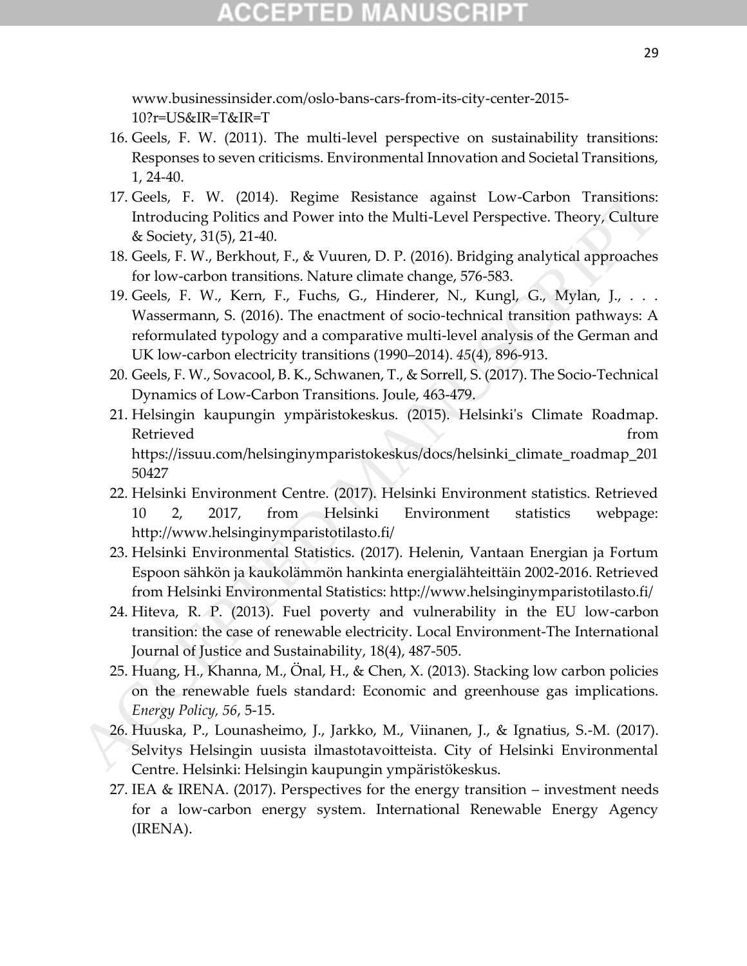# CCEPTED MANUSCR

www.businessinsider.com/oslo-bans-cars-from-its-city-center-2015- 10?r=US&IR=T&IR=T

- 16. Geels, F. W. (2011). The multi-level perspective on sustainability transitions: Responses to seven criticisms. Environmental Innovation and Societal Transitions, 1, 24-40.
- 17. Geels, F. W. (2014). Regime Resistance against Low-Carbon Transitions: Introducing Politics and Power into the Multi-Level Perspective. Theory, Culture & Society, 31(5), 21-40.
- 18. Geels, F. W., Berkhout, F., & Vuuren, D. P. (2016). Bridging analytical approaches for low-carbon transitions. Nature climate change, 576-583.
- 19. Geels, F. W., Kern, F., Fuchs, G., Hinderer, N., Kungl, G., Mylan, J., . . . Wassermann, S. (2016). The enactment of socio-technical transition pathways: A reformulated typology and a comparative multi-level analysis of the German and UK low-carbon electricity transitions (1990–2014). *45*(4), 896-913.
- 20. Geels, F. W., Sovacool, B. K., Schwanen, T., & Sorrell, S. (2017). The Socio-Technical Dynamics of Low-Carbon Transitions. Joule, 463-479.
- 21. Helsingin kaupungin ympäristokeskus. (2015). Helsinki's Climate Roadmap. Retrieved from the set of the set of the set of the set of the set of the set of the set of the set of the set of the set of the set of the set of the set of the set of the set of the set of the set of the set of the set o https://issuu.com/helsinginymparistokeskus/docs/helsinki\_climate\_roadmap\_201 50427 17. Gels). F. W. (2014). Regime Resistance against Low-Carbon Transitions:<br>
Introducing Politics and Power into the Mullti-Level Perspective. Theory, Culture<br>
& Society, 31(5), 21-40.<br>
16. Geeks, F. W., Rerh, E., Waren, D
	- 22. Helsinki Environment Centre. (2017). Helsinki Environment statistics. Retrieved 10 2, 2017, from Helsinki Environment statistics webpage: http://www.helsinginymparistotilasto.fi/
	- 23. Helsinki Environmental Statistics. (2017). Helenin, Vantaan Energian ja Fortum Espoon sähkön ja kaukolämmön hankinta energialähteittäin 2002-2016. Retrieved from Helsinki Environmental Statistics: http://www.helsinginymparistotilasto.fi/
	- 24. Hiteva, R. P. (2013). Fuel poverty and vulnerability in the EU low-carbon transition: the case of renewable electricity. Local Environment-The International Journal of Justice and Sustainability, 18(4), 487-505.
	- 25. Huang, H., Khanna, M., Önal, H., & Chen, X. (2013). Stacking low carbon policies on the renewable fuels standard: Economic and greenhouse gas implications. *Energy Policy, 56*, 5-15.
	- 26. Huuska, P., Lounasheimo, J., Jarkko, M., Viinanen, J., & Ignatius, S.-M. (2017). Selvitys Helsingin uusista ilmastotavoitteista. City of Helsinki Environmental Centre. Helsinki: Helsingin kaupungin ympäristökeskus.
	- 27. IEA & IRENA. (2017). Perspectives for the energy transition investment needs for a low-carbon energy system. International Renewable Energy Agency (IRENA).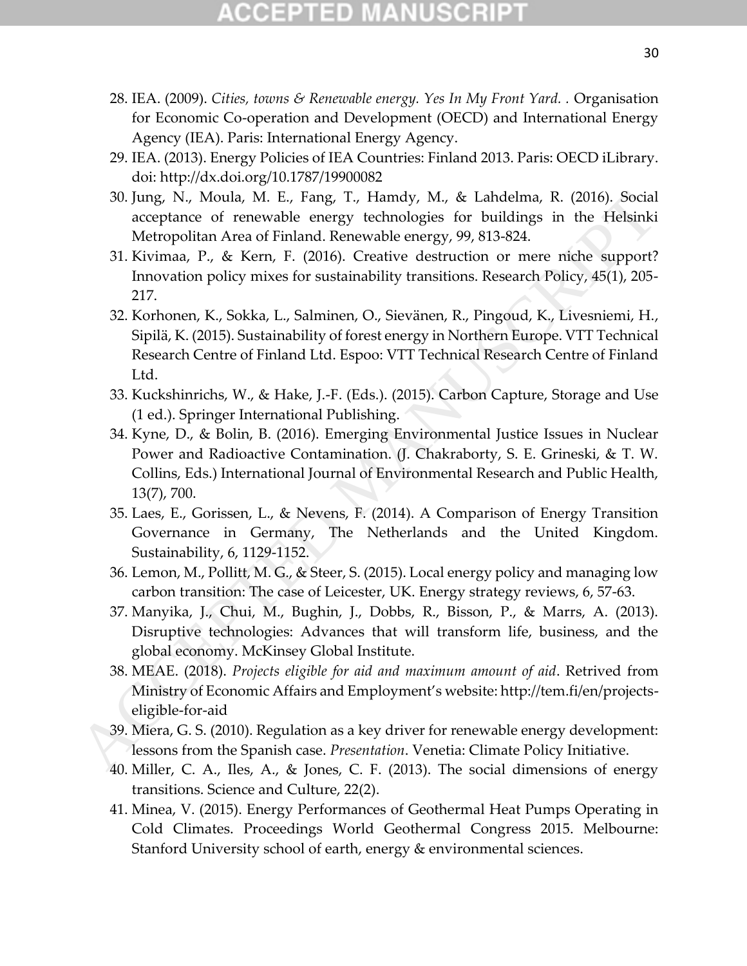# CCEPTED MANUSCR

- 28. IEA. (2009). *Cities, towns & Renewable energy. Yes In My Front Yard. .* Organisation for Economic Co-operation and Development (OECD) and International Energy Agency (IEA). Paris: International Energy Agency.
- 29. IEA. (2013). Energy Policies of IEA Countries: Finland 2013. Paris: OECD iLibrary. doi: http://dx.doi.org/10.1787/19900082
- 30. Jung, N., Moula, M. E., Fang, T., Hamdy, M., & Lahdelma, R. (2016). Social acceptance of renewable energy technologies for buildings in the Helsinki Metropolitan Area of Finland. Renewable energy, 99, 813-824.
- 31. Kivimaa, P., & Kern, F. (2016). Creative destruction or mere niche support? Innovation policy mixes for sustainability transitions. Research Policy, 45(1), 205- 217.
- 32. Korhonen, K., Sokka, L., Salminen, O., Sievänen, R., Pingoud, K., Livesniemi, H., Sipilä, K. (2015). Sustainability of forest energy in Northern Europe. VTT Technical Research Centre of Finland Ltd. Espoo: VTT Technical Research Centre of Finland Ltd. 30, Jung, N., Moula, M. E., Fang, T., Handy, M., & Lahdelma, R. (2016). Social<br>acceptance of renewable energy technologies for buildings in the Helsinki<br>deterory technologies (or subsection). M. A. & Lahdelman P., & Kern,
	- 33. Kuckshinrichs, W., & Hake, J.-F. (Eds.). (2015). Carbon Capture, Storage and Use (1 ed.). Springer International Publishing.
	- 34. Kyne, D., & Bolin, B. (2016). Emerging Environmental Justice Issues in Nuclear Power and Radioactive Contamination. (J. Chakraborty, S. E. Grineski, & T. W. Collins, Eds.) International Journal of Environmental Research and Public Health, 13(7), 700.
	- 35. Laes, E., Gorissen, L., & Nevens, F. (2014). A Comparison of Energy Transition Governance in Germany, The Netherlands and the United Kingdom. Sustainability, 6, 1129-1152.
	- 36. Lemon, M., Pollitt, M. G., & Steer, S. (2015). Local energy policy and managing low carbon transition: The case of Leicester, UK. Energy strategy reviews, 6, 57-63.
	- 37. Manyika, J., Chui, M., Bughin, J., Dobbs, R., Bisson, P., & Marrs, A. (2013). Disruptive technologies: Advances that will transform life, business, and the global economy. McKinsey Global Institute.
	- 38. MEAE. (2018). *Projects eligible for aid and maximum amount of aid*. Retrived from Ministry of Economic Affairs and Employment's website: http://tem.fi/en/projectseligible-for-aid
	- 39. Miera, G. S. (2010). Regulation as a key driver for renewable energy development: lessons from the Spanish case. *Presentation*. Venetia: Climate Policy Initiative.
	- 40. Miller, C. A., Iles, A., & Jones, C. F. (2013). The social dimensions of energy transitions. Science and Culture, 22(2).
	- 41. Minea, V. (2015). Energy Performances of Geothermal Heat Pumps Operating in Cold Climates. Proceedings World Geothermal Congress 2015. Melbourne: Stanford University school of earth, energy & environmental sciences.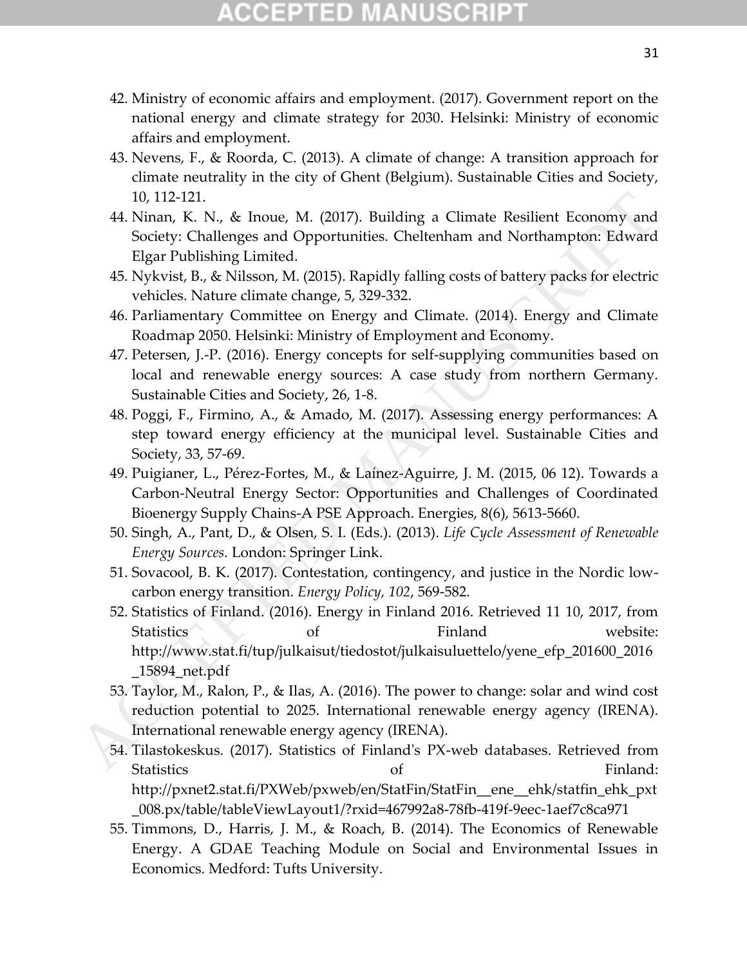# CCEPTED MANUSCRI

- 42. Ministry of economic affairs and employment. (2017). Government report on the national energy and climate strategy for 2030. Helsinki: Ministry of economic affairs and employment.
- 43. Nevens, F., & Roorda, C. (2013). A climate of change: A transition approach for climate neutrality in the city of Ghent (Belgium). Sustainable Cities and Society, 10, 112-121.
- 44. Ninan, K. N., & Inoue, M. (2017). Building a Climate Resilient Economy and Society: Challenges and Opportunities. Cheltenham and Northampton: Edward Elgar Publishing Limited.
- 45. Nykvist, B., & Nilsson, M. (2015). Rapidly falling costs of battery packs for electric vehicles. Nature climate change, 5, 329-332.
- 46. Parliamentary Committee on Energy and Climate. (2014). Energy and Climate Roadmap 2050. Helsinki: Ministry of Employment and Economy.
- 47. Petersen, J.-P. (2016). Energy concepts for self-supplying communities based on local and renewable energy sources: A case study from northern Germany. Sustainable Cities and Society, 26, 1-8.
- 48. Poggi, F., Firmino, A., & Amado, M. (2017). Assessing energy performances: A step toward energy efficiency at the municipal level. Sustainable Cities and Society, 33, 57-69.
- 49. Puigianer, L., Pérez-Fortes, M., & Laínez-Aguirre, J. M. (2015, 06 12). Towards a Carbon-Neutral Energy Sector: Opportunities and Challenges of Coordinated Bioenergy Supply Chains-A PSE Approach. Energies, 8(6), 5613-5660.
- 50. Singh, A., Pant, D., & Olsen, S. I. (Eds.). (2013). *Life Cycle Assessment of Renewable Energy Sources.* London: Springer Link.
- 51. Sovacool, B. K. (2017). Contestation, contingency, and justice in the Nordic lowcarbon energy transition. *Energy Policy, 102*, 569-582.
- 52. Statistics of Finland. (2016). Energy in Finland 2016. Retrieved 11 10, 2017, from Statistics of Finland website: http://www.stat.fi/tup/julkaisut/tiedostot/julkaisuluettelo/yene\_efp\_201600\_2016 \_15894\_net.pdf 10, 112-121.<br>
41 Ninan, K. N., & Inoue, M. (2017). Building a Climate Resilient Economy and<br>
Society: Challenges and Opportunities. Cheltenham and Northampton: Edward<br>
Flg.pr Publishing Limited.<br>
45. Nykvist, B, & Nilsson
	- 53. Taylor, M., Ralon, P., & Ilas, A. (2016). The power to change: solar and wind cost reduction potential to 2025. International renewable energy agency (IRENA). International renewable energy agency (IRENA).
	- 54. Tilastokeskus. (2017). Statistics of Finland's PX-web databases. Retrieved from Statistics of Statistics of Statistics of Statistics of Statistics and Statistics of Statistics of Statistics http://pxnet2.stat.fi/PXWeb/pxweb/en/StatFin/StatFin\_\_ene\_\_ehk/statfin\_ehk\_pxt \_008.px/table/tableViewLayout1/?rxid=467992a8-78fb-419f-9eec-1aef7c8ca971
	- 55. Timmons, D., Harris, J. M., & Roach, B. (2014). The Economics of Renewable Energy. A GDAE Teaching Module on Social and Environmental Issues in Economics. Medford: Tufts University.